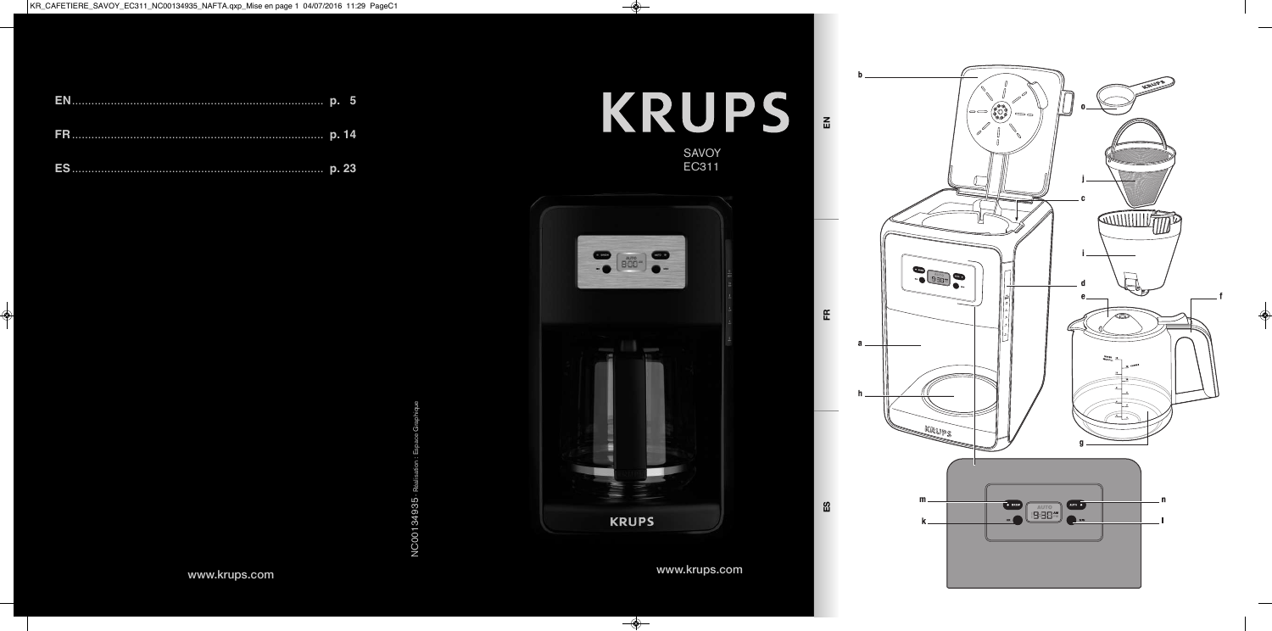**FR**

**ES**



**KRUPS** 

NC00134935 - Réalisation : Espace Graphique NC00134935

**www.krups.com**

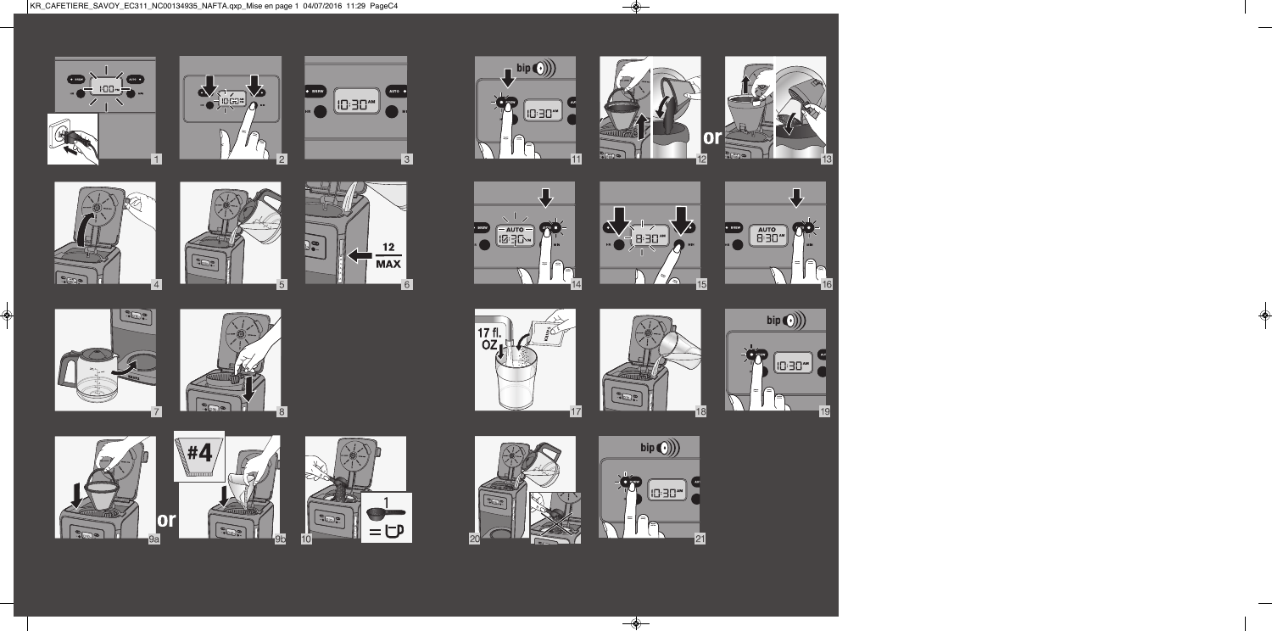































 $\frac{1}{13}$ 















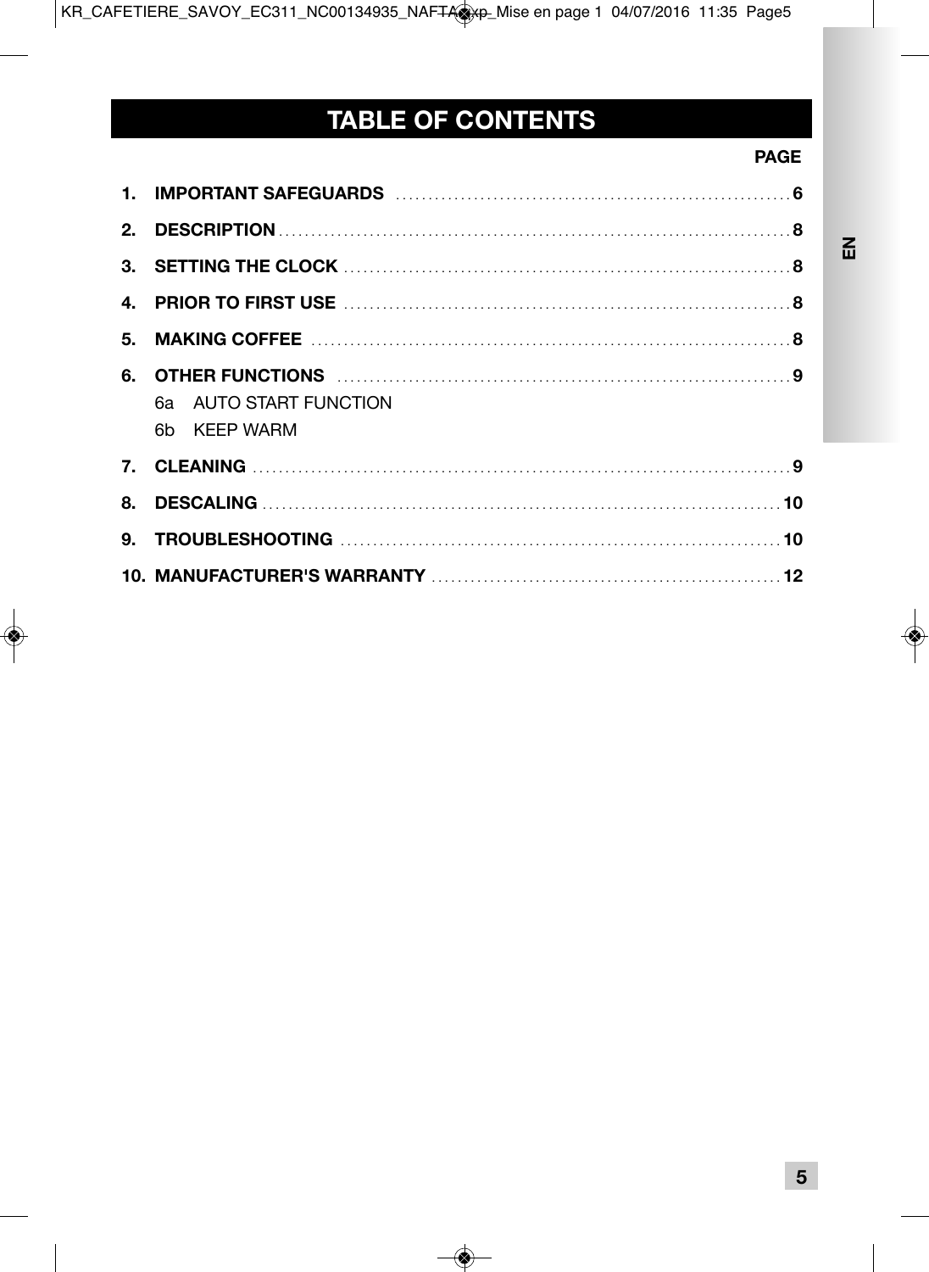# TABLE OF CONTENTS

### **PAGE**

 $\tilde{E}$ 

|    | 6. OTHER FUNCTIONS <b>With the CONSTRUCTION</b> 9<br>6a AUTO START FUNCTION<br>6b KFFP WARM |
|----|---------------------------------------------------------------------------------------------|
|    |                                                                                             |
| 8. |                                                                                             |
|    |                                                                                             |
|    |                                                                                             |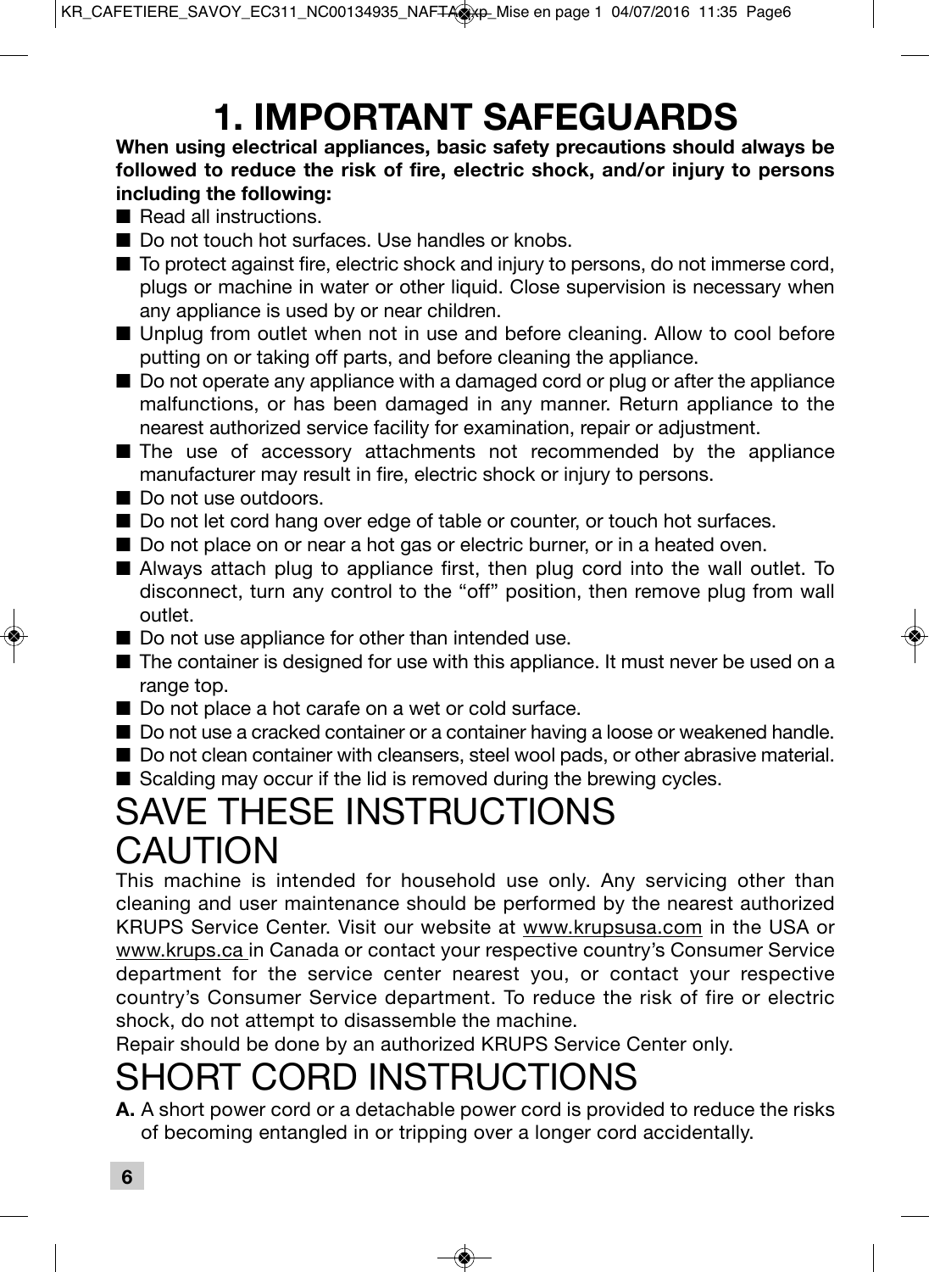# **1. IMPORTANT SAFEGUARDS**

### **When using electrical appliances, basic safety precautions should always be followed to reduce the risk of fire, electric shock, and/or injury to persons including the following:**

- Read all instructions
- Do not touch hot surfaces. Use handles or knobs.
- To protect against fire, electric shock and injury to persons, do not immerse cord, plugs or machine in water or other liquid. Close supervision is necessary when any appliance is used by or near children.
- Unplug from outlet when not in use and before cleaning. Allow to cool before putting on or taking off parts, and before cleaning the appliance.
- Do not operate any appliance with a damaged cord or plug or after the appliance malfunctions, or has been damaged in any manner. Return appliance to the nearest authorized service facility for examination, repair or adjustment.
- The use of accessory attachments not recommended by the appliance manufacturer may result in fire, electric shock or injury to persons.
- Do not use outdoors
- Do not let cord hang over edge of table or counter, or touch hot surfaces.
- Do not place on or near a hot gas or electric burner, or in a heated oven.
- Always attach plug to appliance first, then plug cord into the wall outlet. To disconnect, turn any control to the "off" position, then remove plug from wall outlet.
- Do not use appliance for other than intended use.
- The container is designed for use with this appliance. It must never be used on a range top.
- Do not place a hot carafe on a wet or cold surface.
- Do not use a cracked container or a container having a loose or weakened handle.
- Do not clean container with cleansers, steel wool pads, or other abrasive material.
- Scalding may occur if the lid is removed during the brewing cycles.

# SAVE THESE INSTRUCTIONS CAUTION

This machine is intended for household use only. Any servicing other than cleaning and user maintenance should be performed by the nearest authorized KRUPS Service Center. Visit our website at www.krupsusa.com in the USA or www.krups.ca in Canada or contact your respective country's Consumer Service department for the service center nearest you, or contact your respective country's Consumer Service department. To reduce the risk of fire or electric shock, do not attempt to disassemble the machine.

Repair should be done by an authorized KRUPS Service Center only.

# SHORT CORD INSTRUCTIONS

**A.** A short power cord or a detachable power cord is provided to reduce the risks of becoming entangled in or tripping over a longer cord accidentally.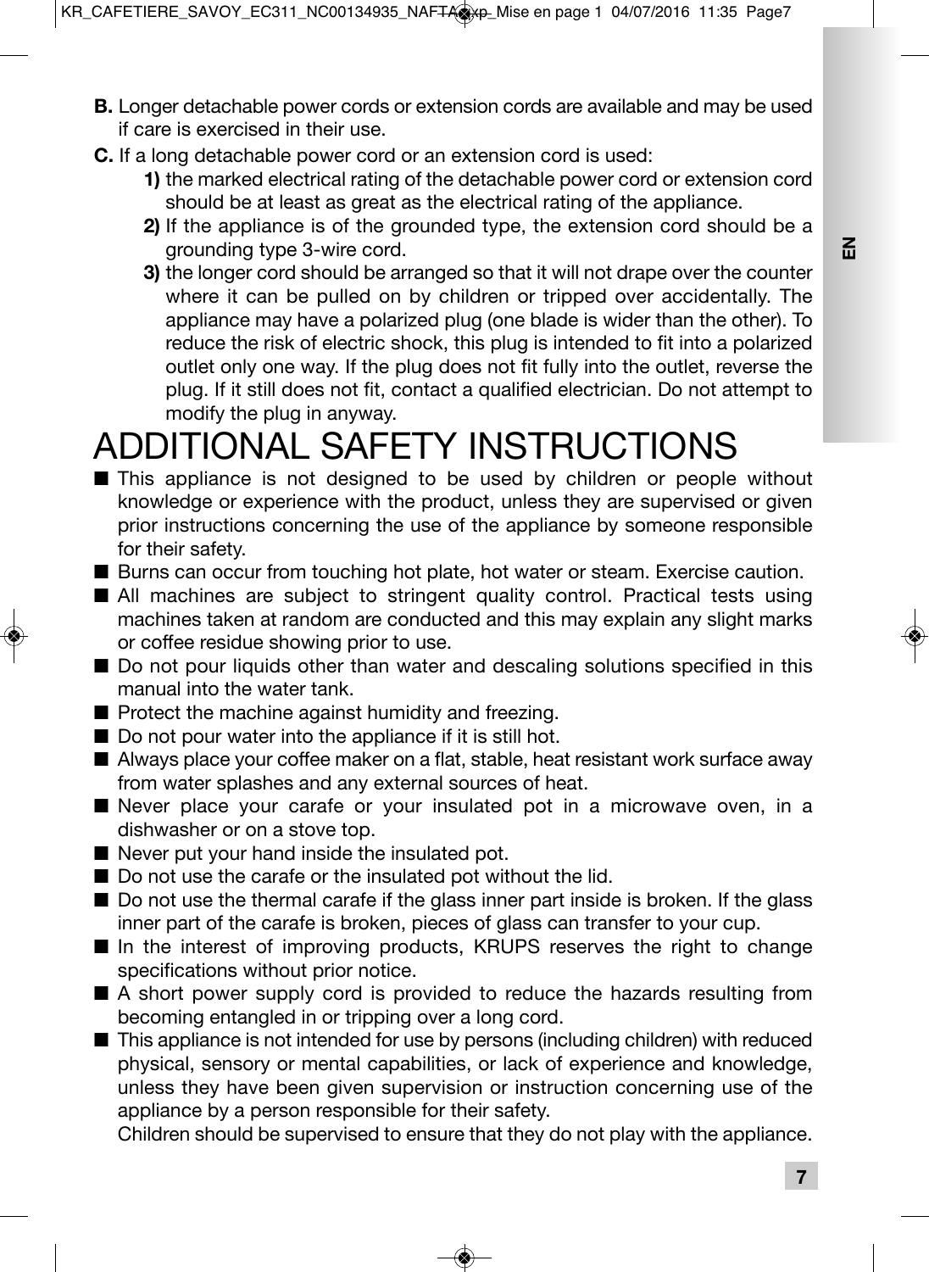- **B.** Longer detachable power cords or extension cords are available and may be used if care is exercised in their use.
- **C.** If a long detachable power cord or an extension cord is used:
	- **1)** the marked electrical rating of the detachable power cord or extension cord should be at least as great as the electrical rating of the appliance.
	- **2)** If the appliance is of the grounded type, the extension cord should be a grounding type 3-wire cord.
	- **3)** the longer cord should be arranged so that it will not drape over the counter where it can be pulled on by children or tripped over accidentally. The appliance may have a polarized plug (one blade is wider than the other). To reduce the risk of electric shock, this plug is intended to fit into a polarized outlet only one way. If the plug does not fit fully into the outlet, reverse the plug. If it still does not fit, contact a qualified electrician. Do not attempt to modify the plug in anyway.

# ADDITIONAL SAFETY INSTRUCTIONS

- This appliance is not designed to be used by children or people without knowledge or experience with the product, unless they are supervised or given prior instructions concerning the use of the appliance by someone responsible for their safety.
- Burns can occur from touching hot plate, hot water or steam. Exercise caution.
- All machines are subject to stringent quality control. Practical tests using machines taken at random are conducted and this may explain any slight marks or coffee residue showing prior to use.
- Do not pour liquids other than water and descaling solutions specified in this manual into the water tank.
- Protect the machine against humidity and freezing.
- Do not pour water into the appliance if it is still hot.
- Always place your coffee maker on a flat, stable, heat resistant work surface away from water splashes and any external sources of heat.
- Never place your carafe or your insulated pot in a microwave oven, in a dishwasher or on a stove top.
- Never put your hand inside the insulated pot.
- Do not use the carafe or the insulated pot without the lid.
- Do not use the thermal carafe if the glass inner part inside is broken. If the glass inner part of the carafe is broken, pieces of glass can transfer to your cup.
- In the interest of improving products, KRUPS reserves the right to change specifications without prior notice.
- A short power supply cord is provided to reduce the hazards resulting from becoming entangled in or tripping over a long cord.
- This appliance is not intended for use by persons (including children) with reduced physical, sensory or mental capabilities, or lack of experience and knowledge, unless they have been given supervision or instruction concerning use of the appliance by a person responsible for their safety.

Children should be supervised to ensure that they do not play with the appliance.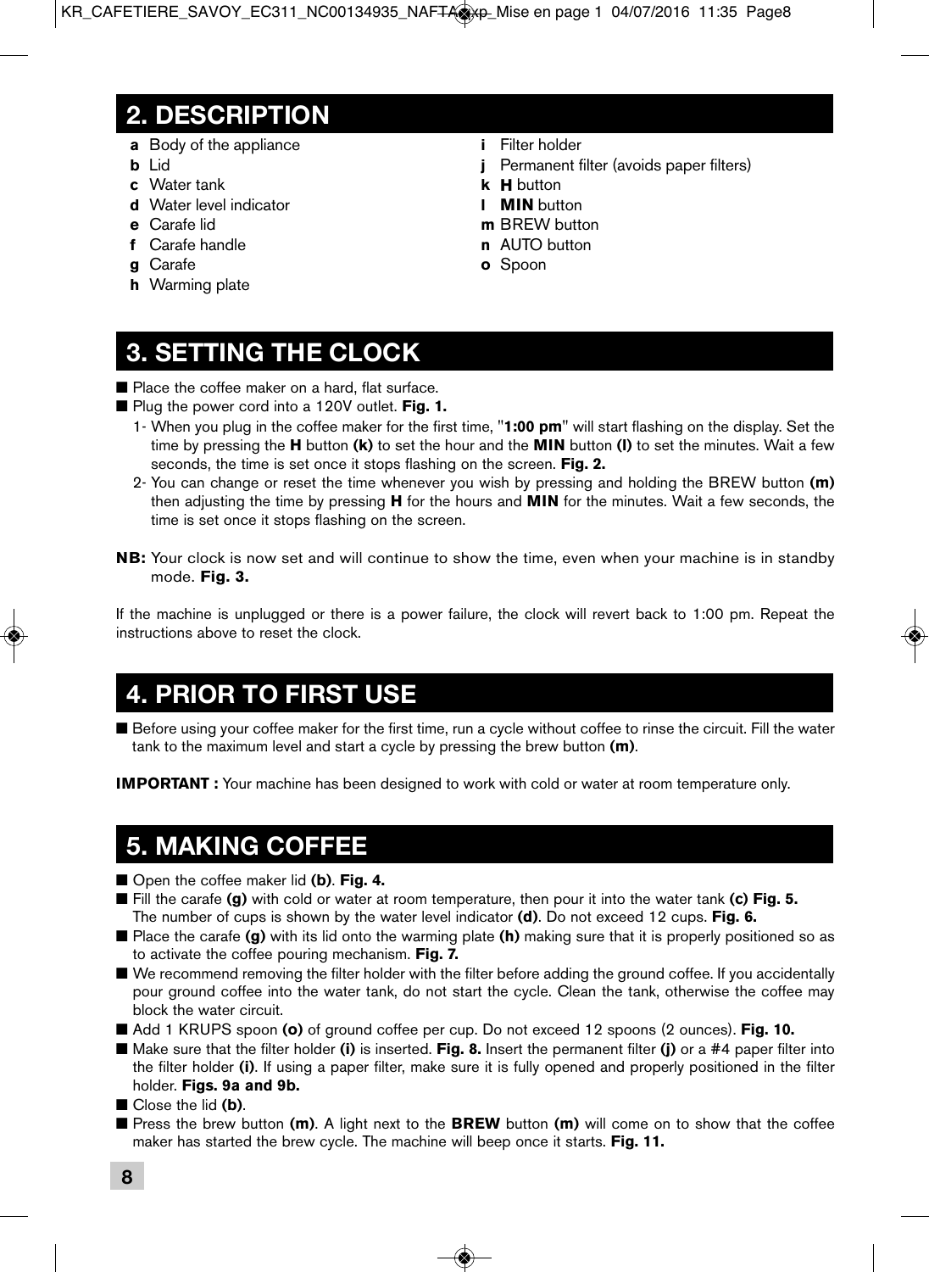### **2. DESCRIPTION**

- **a** Body of the appliance
- **b** Lid
- **c** Water tank
- **d** Water level indicator
- **e** Carafe lid
- **f** Carafe handle
- **g** Carafe
- **h** Warming plate
- **i** Filter holder
- **j** Permanent filter (avoids paper filters)
- **k H** button
- **l MIN** button
- **m** BREW button
- **n** AUTO button
- **o** Spoon

# **3. SETTING THE CLOCK**

■ Place the coffee maker on a hard, flat surface.

- Plug the power cord into a 120V outlet. **Fig. 1.** 
	- 1- When you plug in the coffee maker for the first time, "**1:00 pm**" will start flashing on the display. Set the time by pressing the **H** button **(k)** to set the hour and the **MIN** button **(l)** to set the minutes. Wait a few seconds, the time is set once it stops flashing on the screen. **Fig. 2.**
	- 2- You can change or reset the time whenever you wish by pressing and holding the BREW button **(m)** then adjusting the time by pressing **H** for the hours and **MIN** for the minutes. Wait a few seconds, the time is set once it stops flashing on the screen.
- **NB:** Your clock is now set and will continue to show the time, even when your machine is in standby mode. **Fig. 3.**

If the machine is unplugged or there is a power failure, the clock will revert back to 1:00 pm. Repeat the instructions above to reset the clock.

## **4. PRIOR TO FIRST USE**

■ Before using your coffee maker for the first time, run a cycle without coffee to rinse the circuit. Fill the water tank to the maximum level and start a cycle by pressing the brew button **(m)**.

**IMPORTANT :** Your machine has been designed to work with cold or water at room temperature only.

### **5. MAKING COFFEE**

- Open the coffee maker lid (**b**). **Fig. 4.**
- Fill the carafe **(g)** with cold or water at room temperature, then pour it into the water tank **(c) Fig. 5.** The number of cups is shown by the water level indicator **(d)**. Do not exceed 12 cups. **Fig. 6.**
- Place the carafe **(g)** with its lid onto the warming plate **(h)** making sure that it is properly positioned so as to activate the coffee pouring mechanism. **Fig. 7.**
- We recommend removing the filter holder with the filter before adding the ground coffee. If you accidentally pour ground coffee into the water tank, do not start the cycle. Clean the tank, otherwise the coffee may block the water circuit.
- Add 1 KRUPS spoon (o) of ground coffee per cup. Do not exceed 12 spoons (2 ounces). **Fig. 10.**
- Make sure that the filter holder **(i)** is inserted. **Fig. 8.** Insert the permanent filter **(j)** or a #4 paper filter into the filter holder **(i)**. If using a paper filter, make sure it is fully opened and properly positioned in the filter holder. **Figs. 9a and 9b.**
- Close the lid **(b)**.
- Press the brew button (**m**). A light next to the BREW button (**m**) will come on to show that the coffee maker has started the brew cycle. The machine will beep once it starts. **Fig. 11.**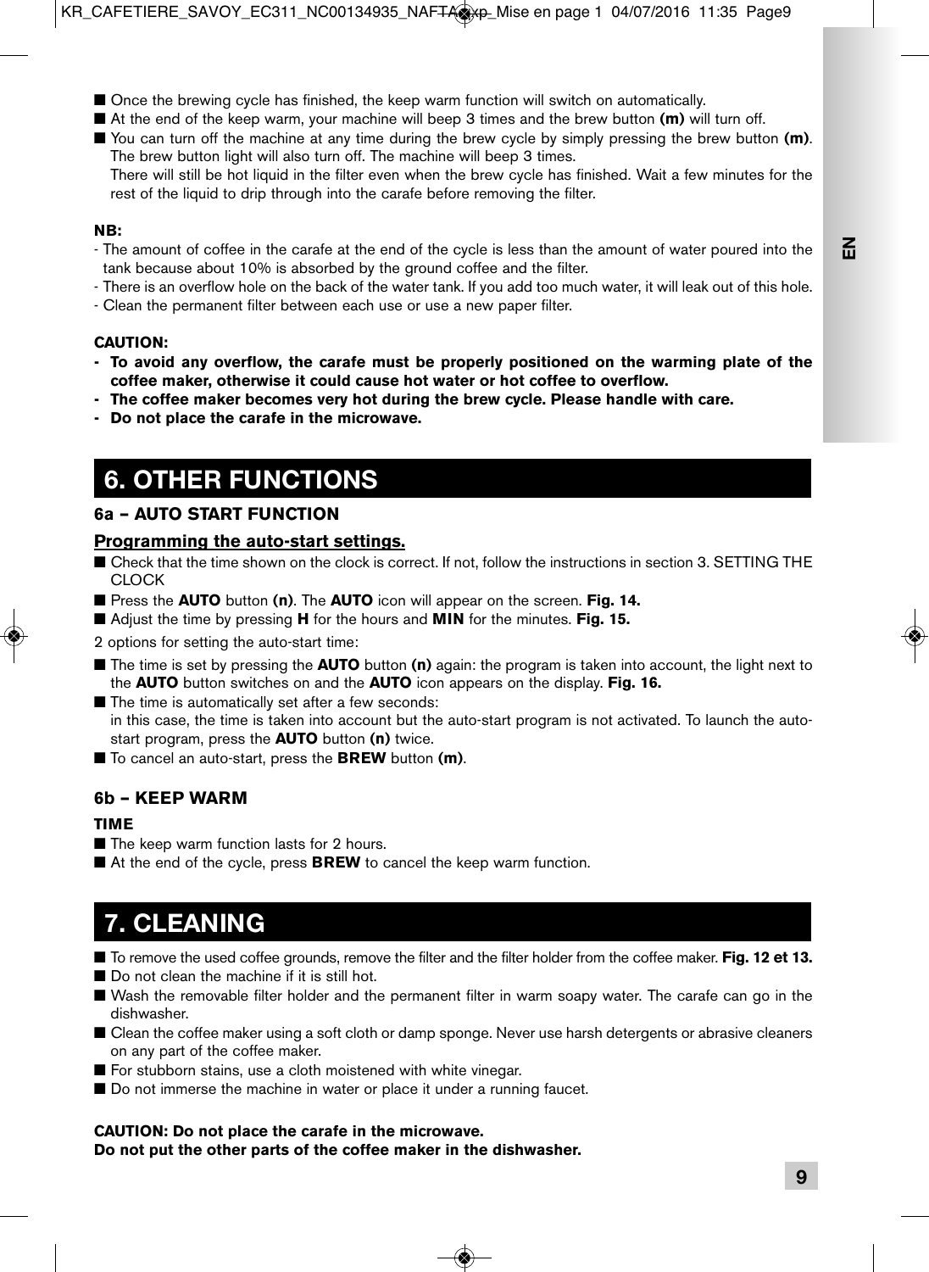- Once the brewing cycle has finished, the keep warm function will switch on automatically.
- At the end of the keep warm, your machine will beep 3 times and the brew button **(m)** will turn off.
- You can turn off the machine at any time during the brew cycle by simply pressing the brew button **(m)**. The brew button light will also turn off. The machine will beep 3 times.

 There will still be hot liquid in the filter even when the brew cycle has finished. Wait a few minutes for the rest of the liquid to drip through into the carafe before removing the filter.

#### **NB:**

- The amount of coffee in the carafe at the end of the cycle is less than the amount of water poured into the tank because about 10% is absorbed by the ground coffee and the filter.
- There is an overflow hole on the back of the water tank. If you add too much water, it will leak out of this hole.
- Clean the permanent filter between each use or use a new paper filter.

### **CAUTION:**

- **To avoid any overflow, the carafe must be properly positioned on the warming plate of the coffee maker, otherwise it could cause hot water or hot coffee to overflow.**
- **The coffee maker becomes very hot during the brew cycle. Please handle with care.**
- **Do not place the carafe in the microwave.**

## **6. OTHER FUNCTIONS**

### **6a – AUTO START FUNCTION**

### **Programming the auto-start settings.**

- Check that the time shown on the clock is correct. If not, follow the instructions in section 3. SETTING THE CLOCK
- Press the **AUTO** button (n). The **AUTO** icon will appear on the screen. Fig. 14.
- Adjust the time by pressing **H** for the hours and **MIN** for the minutes. **Fig. 15.**

2 options for setting the auto-start time:

- The time is set by pressing the **AUTO** button (n) again: the program is taken into account, the light next to the **AUTO** button switches on and the **AUTO** icon appears on the display. **Fig. 16.**
- The time is automatically set after a few seconds: in this case, the time is taken into account but the auto-start program is not activated. To launch the autostart program, press the **AUTO** button **(n)** twice.
- To cancel an auto-start, press the **BREW** button (**m**).

### **6b – KEEP WARM**

### **TIME**

- The keep warm function lasts for 2 hours.
- At the end of the cycle, press **BREW** to cancel the keep warm function.

## **7. CLEANING**

- To remove the used coffee grounds, remove the filter and the filter holder from the coffee maker. **Fig. 12 et 13.**
- Do not clean the machine if it is still hot.
- Wash the removable filter holder and the permanent filter in warm soapy water. The carafe can go in the dishwasher.
- Clean the coffee maker using a soft cloth or damp sponge. Never use harsh detergents or abrasive cleaners on any part of the coffee maker.
- For stubborn stains, use a cloth moistened with white vinegar.
- Do not immerse the machine in water or place it under a running faucet.

### **CAUTION: Do not place the carafe in the microwave.**

**Do not put the other parts of the coffee maker in the dishwasher.**

**E**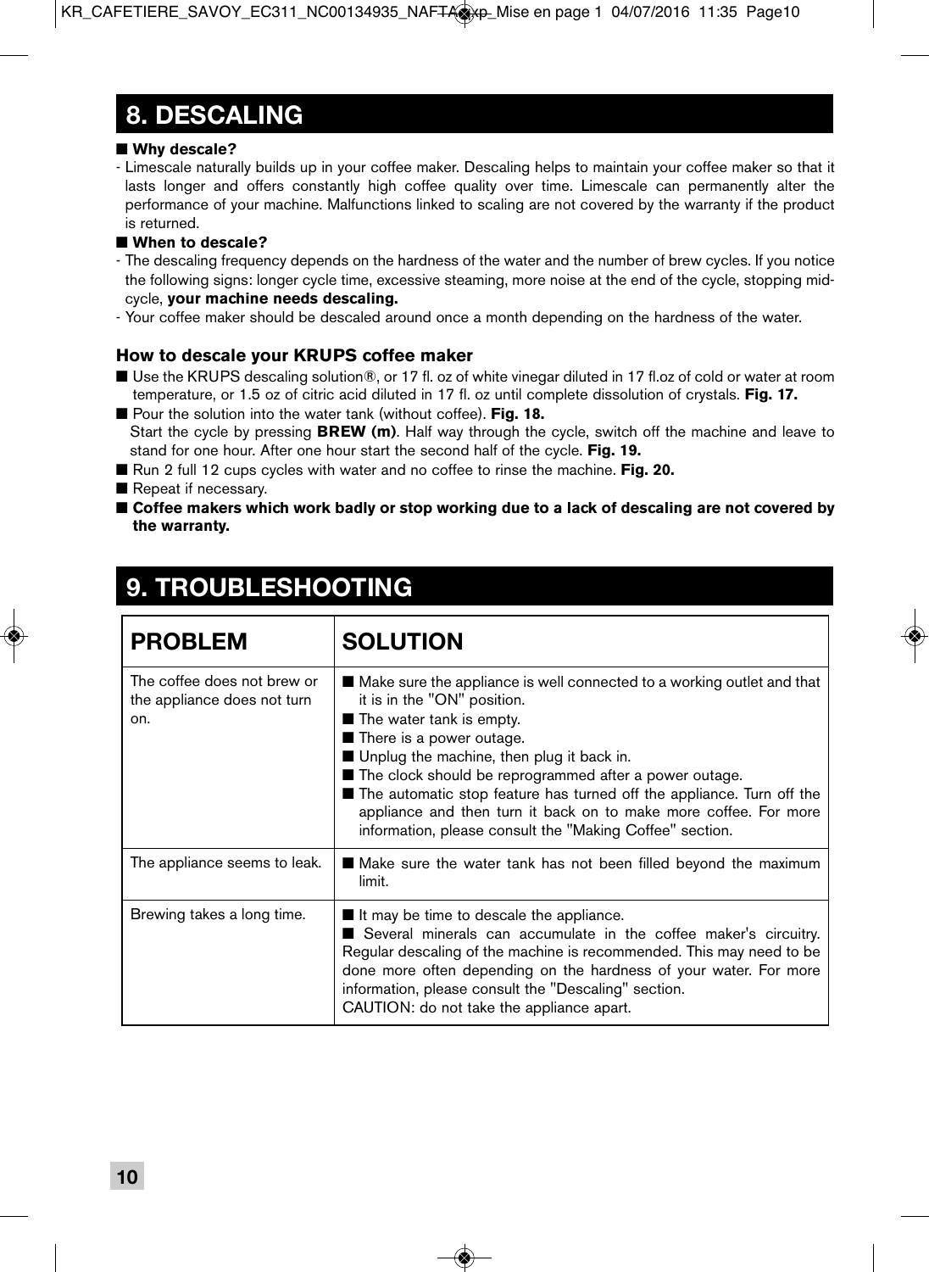## **8. DESCALING**

### ■ Why descale?

- Limescale naturally builds up in your coffee maker. Descaling helps to maintain your coffee maker so that it lasts longer and offers constantly high coffee quality over time. Limescale can permanently alter the performance of your machine. Malfunctions linked to scaling are not covered by the warranty if the product is returned.

### ■ When to descale?

- The descaling frequency depends on the hardness of the water and the number of brew cycles. If you notice the following signs: longer cycle time, excessive steaming, more noise at the end of the cycle, stopping midcycle, **your machine needs descaling.**
- Your coffee maker should be descaled around once a month depending on the hardness of the water.

### **How to descale your KRUPS coffee maker**

- Use the KRUPS descaling solution®, or 17 fl. oz of white vinegar diluted in 17 fl.oz of cold or water at room temperature, or 1.5 oz of citric acid diluted in 17 fl. oz until complete dissolution of crystals. **Fig. 17.**
- Pour the solution into the water tank (without coffee). **Fig. 18.** Start the cycle by pressing **BREW (m)**. Half way through the cycle, switch off the machine and leave to stand for one hour. After one hour start the second half of the cycle. **Fig. 19.**
- Run 2 full 12 cups cycles with water and no coffee to rinse the machine. **Fig. 20.**
- Repeat if necessary.
- **Coffee makers which work badly or stop working due to a lack of descaling are not covered by the warranty.**

## **9. TROUBLESHOOTING**

| <b>PROBLEM</b>                                                    | <b>SOLUTION</b>                                                                                                                                                                                                                                                                                                                                                                                                                                                                                      |
|-------------------------------------------------------------------|------------------------------------------------------------------------------------------------------------------------------------------------------------------------------------------------------------------------------------------------------------------------------------------------------------------------------------------------------------------------------------------------------------------------------------------------------------------------------------------------------|
| The coffee does not brew or<br>the appliance does not turn<br>on. | ■ Make sure the appliance is well connected to a working outlet and that<br>it is in the "ON" position.<br>$\blacksquare$ The water tank is empty.<br>■ There is a power outage.<br>■ Unplug the machine, then plug it back in.<br>■ The clock should be reprogrammed after a power outage.<br>The automatic stop feature has turned off the appliance. Turn off the<br>appliance and then turn it back on to make more coffee. For more<br>information, please consult the "Making Coffee" section. |
| The appliance seems to leak.                                      | ■ Make sure the water tank has not been filled beyond the maximum<br>limit.                                                                                                                                                                                                                                                                                                                                                                                                                          |
| Brewing takes a long time.                                        | $\blacksquare$ It may be time to descale the appliance.<br>Several minerals can accumulate in the coffee maker's circuitry.<br>Regular descaling of the machine is recommended. This may need to be<br>done more often depending on the hardness of your water. For more<br>information, please consult the "Descaling" section.<br>CAUTION: do not take the appliance apart.                                                                                                                        |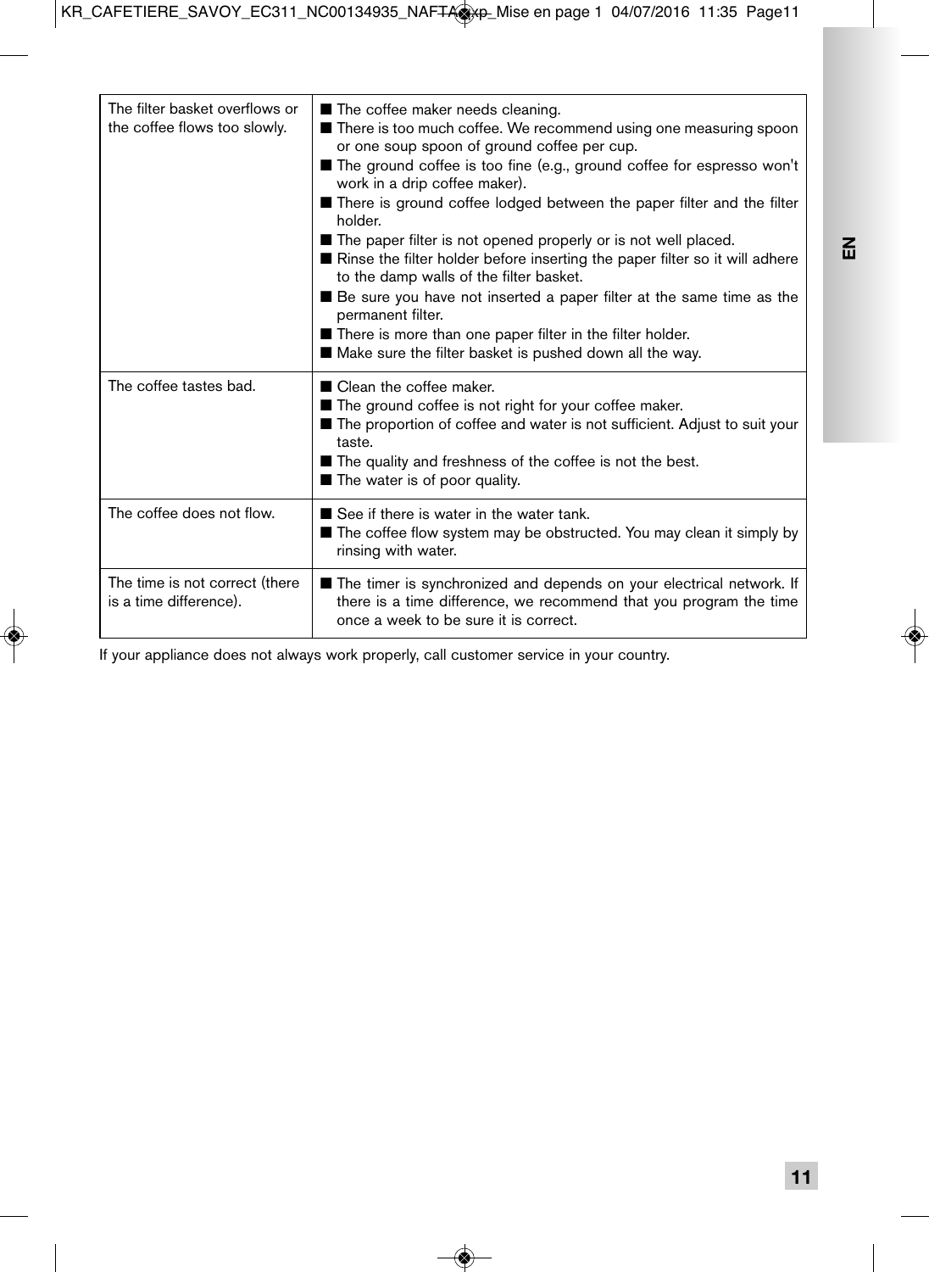| The filter basket overflows or<br>the coffee flows too slowly. | The coffee maker needs cleaning.<br>■ There is too much coffee. We recommend using one measuring spoon<br>or one soup spoon of ground coffee per cup.<br>■ The ground coffee is too fine (e.g., ground coffee for espresso won't<br>work in a drip coffee maker).<br>■ There is ground coffee lodged between the paper filter and the filter<br>holder.<br>■ The paper filter is not opened properly or is not well placed.<br>Rinse the filter holder before inserting the paper filter so it will adhere<br>to the damp walls of the filter basket.<br>■ Be sure you have not inserted a paper filter at the same time as the<br>permanent filter.<br>■ There is more than one paper filter in the filter holder.<br>Make sure the filter basket is pushed down all the way. |
|----------------------------------------------------------------|--------------------------------------------------------------------------------------------------------------------------------------------------------------------------------------------------------------------------------------------------------------------------------------------------------------------------------------------------------------------------------------------------------------------------------------------------------------------------------------------------------------------------------------------------------------------------------------------------------------------------------------------------------------------------------------------------------------------------------------------------------------------------------|
| The coffee tastes bad.                                         | ■ Clean the coffee maker.<br>■ The ground coffee is not right for your coffee maker.<br>■ The proportion of coffee and water is not sufficient. Adjust to suit your<br>taste.<br>■ The quality and freshness of the coffee is not the best.<br>The water is of poor quality.                                                                                                                                                                                                                                                                                                                                                                                                                                                                                                   |
| The coffee does not flow.                                      | See if there is water in the water tank.<br>■ The coffee flow system may be obstructed. You may clean it simply by<br>rinsing with water.                                                                                                                                                                                                                                                                                                                                                                                                                                                                                                                                                                                                                                      |
| The time is not correct (there<br>is a time difference).       | The timer is synchronized and depends on your electrical network. If<br>there is a time difference, we recommend that you program the time<br>once a week to be sure it is correct.                                                                                                                                                                                                                                                                                                                                                                                                                                                                                                                                                                                            |

If your appliance does not always work properly, call customer service in your country.

**EN**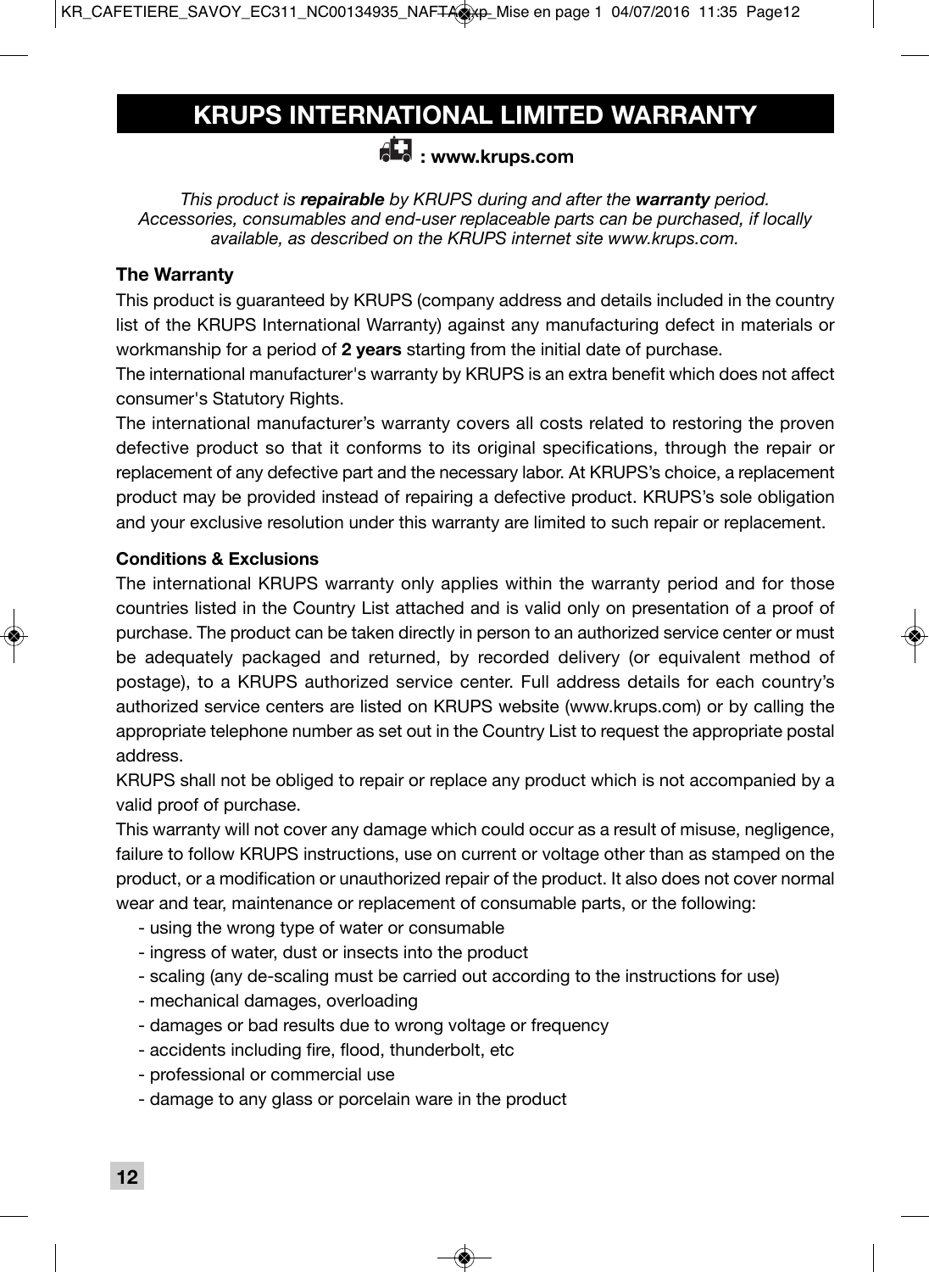## **KRUPS INTERNATIONAL LIMITED WARRANTY**

### **: www.krups.com**

*This product is repairable by KRUPS during and after the warranty period. Accessories, consumables and end-user replaceable parts can be purchased, if locally available, as described on the KRUPS internet site www.krups.com.*

### **The Warranty**

This product is guaranteed by KRUPS (company address and details included in the country list of the KRUPS International Warranty) against any manufacturing defect in materials or workmanship for a period of **2 years** starting from the initial date of purchase.

The international manufacturer's warranty by KRUPS is an extra benefit which does not affect consumer's Statutory Rights.

The international manufacturer's warranty covers all costs related to restoring the proven defective product so that it conforms to its original specifications, through the repair or replacement of any defective part and the necessary labor. At KRUPS's choice, a replacement product may be provided instead of repairing a defective product. KRUPS's sole obligation and your exclusive resolution under this warranty are limited to such repair or replacement.

### **Conditions & Exclusions**

The international KRUPS warranty only applies within the warranty period and for those countries listed in the Country List attached and is valid only on presentation of a proof of purchase. The product can be taken directly in person to an authorized service center or must be adequately packaged and returned, by recorded delivery (or equivalent method of postage), to a KRUPS authorized service center. Full address details for each country's authorized service centers are listed on KRUPS website (www.krups.com) or by calling the appropriate telephone number as set out in the Country List to request the appropriate postal address.

KRUPS shall not be obliged to repair or replace any product which is not accompanied by a valid proof of purchase.

This warranty will not cover any damage which could occur as a result of misuse, negligence, failure to follow KRUPS instructions, use on current or voltage other than as stamped on the product, or a modification or unauthorized repair of the product. It also does not cover normal wear and tear, maintenance or replacement of consumable parts, or the following:

- using the wrong type of water or consumable
- ingress of water, dust or insects into the product
- scaling (any de-scaling must be carried out according to the instructions for use)
- mechanical damages, overloading
- damages or bad results due to wrong voltage or frequency
- accidents including fire, flood, thunderbolt, etc
- professional or commercial use
- damage to any glass or porcelain ware in the product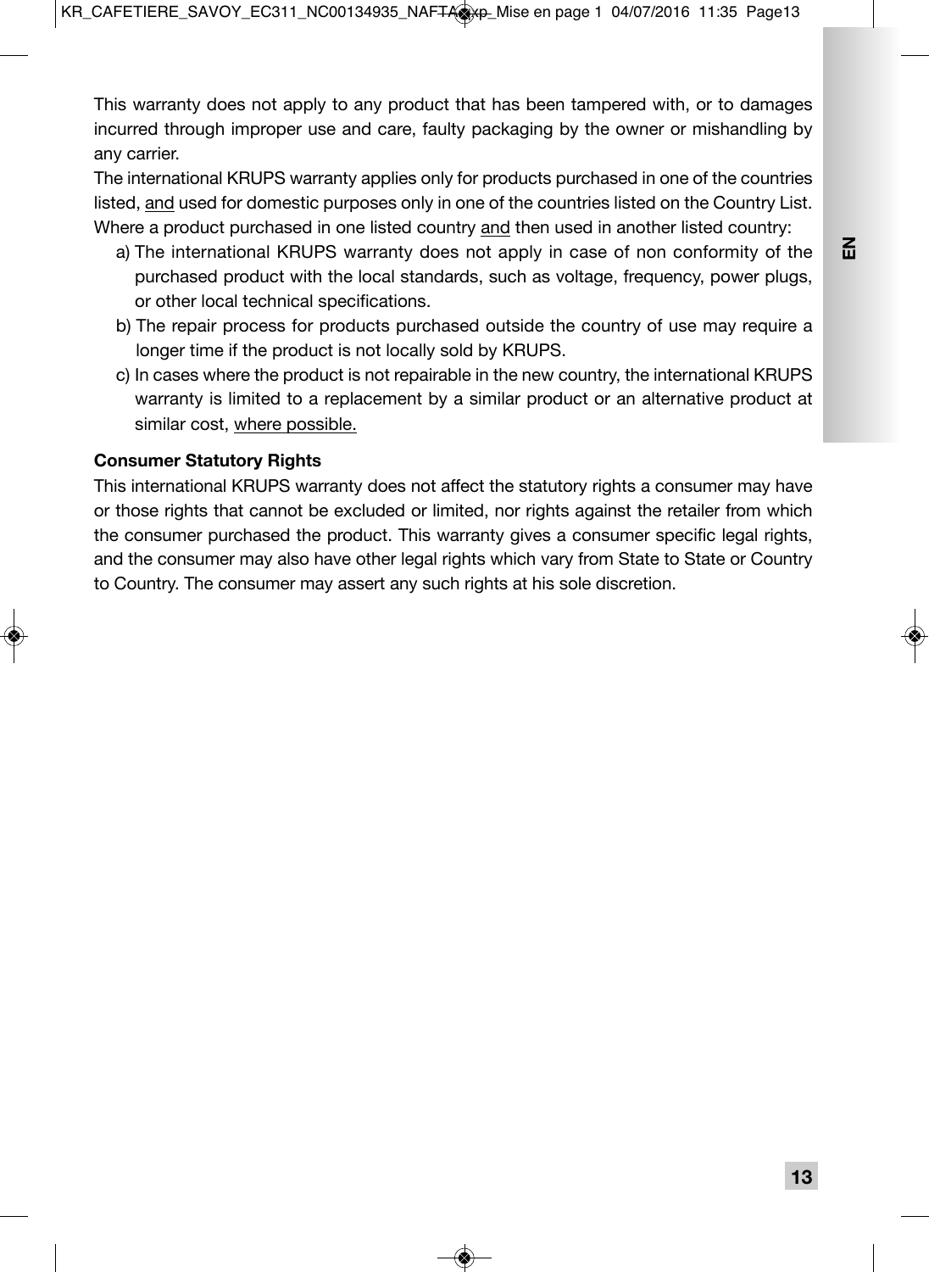This warranty does not apply to any product that has been tampered with, or to damages incurred through improper use and care, faulty packaging by the owner or mishandling by any carrier.

The international KRUPS warranty applies only for products purchased in one of the countries listed, and used for domestic purposes only in one of the countries listed on the Country List. Where a product purchased in one listed country and then used in another listed country:

- a) The international KRUPS warranty does not apply in case of non conformity of the purchased product with the local standards, such as voltage, frequency, power plugs, or other local technical specifications.
- b) The repair process for products purchased outside the country of use may require a longer time if the product is not locally sold by KRUPS.
- c) In cases where the product is not repairable in the new country, the international KRUPS warranty is limited to a replacement by a similar product or an alternative product at similar cost, where possible.

### **Consumer Statutory Rights**

This international KRUPS warranty does not affect the statutory rights a consumer may have or those rights that cannot be excluded or limited, nor rights against the retailer from which the consumer purchased the product. This warranty gives a consumer specific legal rights, and the consumer may also have other legal rights which vary from State to State or Country to Country. The consumer may assert any such rights at his sole discretion.

 $\sum_{i=1}^{\infty}$ 

**13**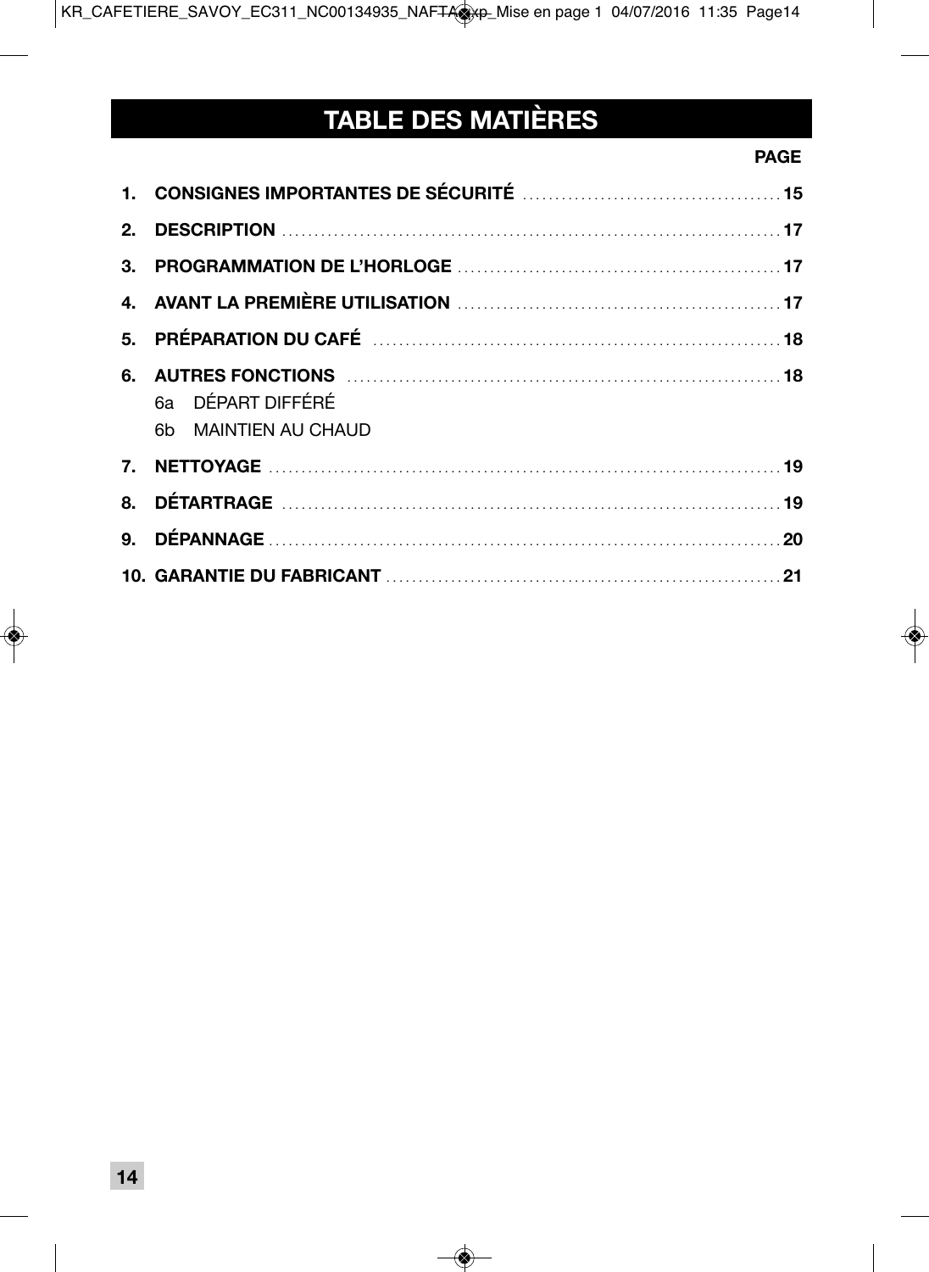# **TABLE DES MATIÈRES**

### **PAGE PAGE**

| 6a DÉPART DIFFÉRÉ<br>6b MAINTIEN AU CHAUD |  |
|-------------------------------------------|--|
|                                           |  |
|                                           |  |
|                                           |  |
|                                           |  |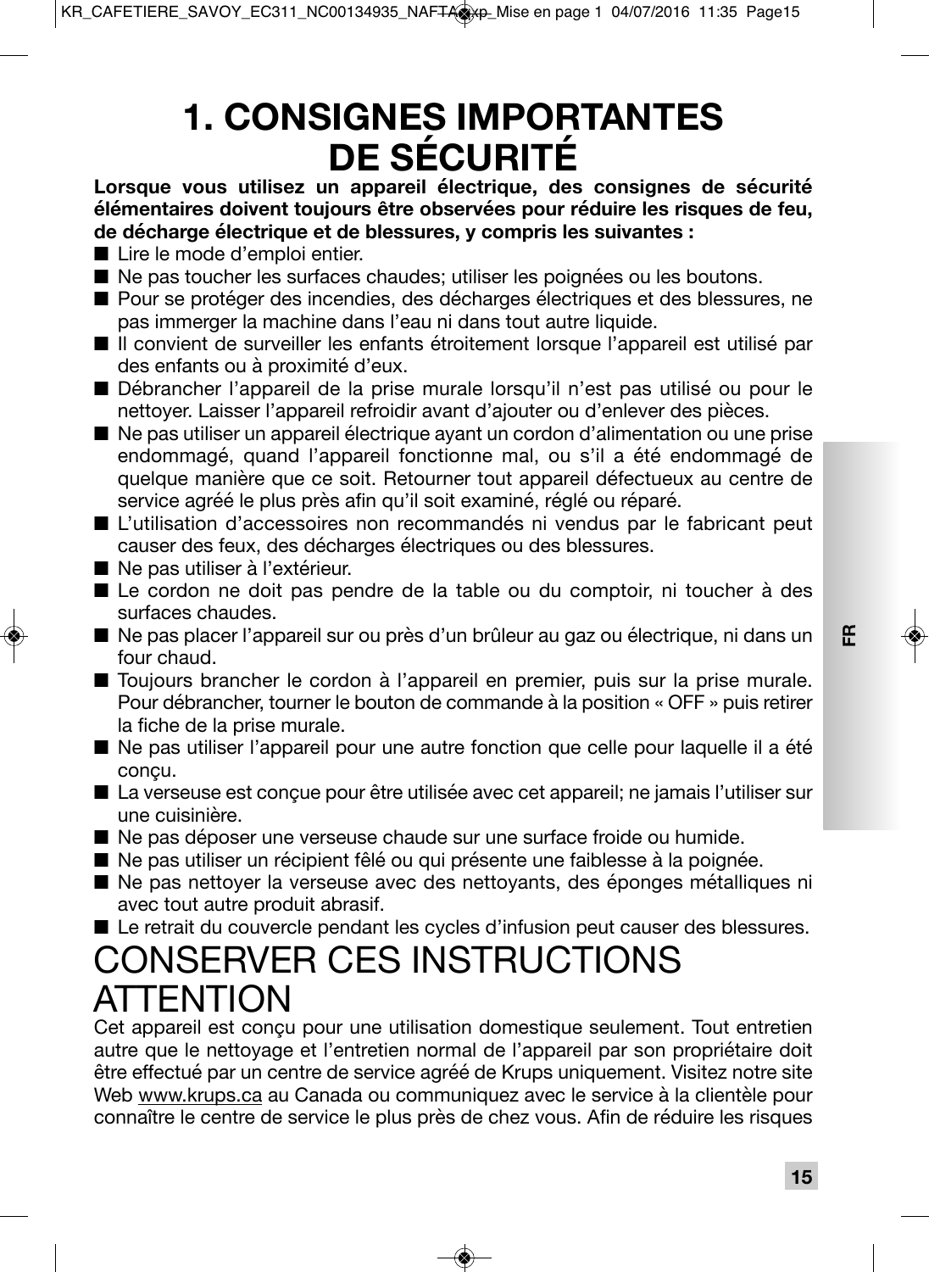# **1. CONSIGNES IMPORTANTES DE SÉCURITÉ**

**Lorsque vous utilisez un appareil électrique, des consignes de sécurité élémentaires doivent toujours être observées pour réduire les risques de feu, de décharge électrique et de blessures, y compris les suivantes :**

- Lire le mode d'emploi entier.
- Ne pas toucher les surfaces chaudes; utiliser les poignées ou les boutons.
- Pour se protéger des incendies, des décharges électriques et des blessures, ne pas immerger la machine dans l'eau ni dans tout autre liquide.
- Il convient de surveiller les enfants étroitement lorsque l'appareil est utilisé par des enfants ou à proximité d'eux.
- Débrancher l'appareil de la prise murale lorsqu'il n'est pas utilisé ou pour le nettoyer. Laisser l'appareil refroidir avant d'ajouter ou d'enlever des pièces.
- Ne pas utiliser un appareil électrique ayant un cordon d'alimentation ou une prise endommagé, quand l'appareil fonctionne mal, ou s'il a été endommagé de quelque manière que ce soit. Retourner tout appareil défectueux au centre de service agréé le plus près afin qu'il soit examiné, réglé ou réparé.
- L'utilisation d'accessoires non recommandés ni vendus par le fabricant peut causer des feux, des décharges électriques ou des blessures.
- Ne pas utiliser à l'extérieur.
- Le cordon ne doit pas pendre de la table ou du comptoir, ni toucher à des surfaces chaudes.
- Ne pas placer l'appareil sur ou près d'un brûleur au gaz ou électrique, ni dans un four chaud.
- Toujours brancher le cordon à l'appareil en premier, puis sur la prise murale. Pour débrancher, tourner le bouton de commande à la position « OFF » puis retirer la fiche de la prise murale.
- Ne pas utiliser l'appareil pour une autre fonction que celle pour laquelle il a été conçu.
- La verseuse est conçue pour être utilisée avec cet appareil; ne jamais l'utiliser sur une cuisinière.
- Ne pas déposer une verseuse chaude sur une surface froide ou humide.
- Ne pas utiliser un récipient fêlé ou qui présente une faiblesse à la poignée.
- Ne pas nettoyer la verseuse avec des nettoyants, des éponges métalliques ni avec tout autre produit abrasif.
- Le retrait du couvercle pendant les cycles d'infusion peut causer des blessures.

# CONSERVER CES INSTRUCTIONS **ATTENTION**

Cet appareil est conçu pour une utilisation domestique seulement. Tout entretien autre que le nettoyage et l'entretien normal de l'appareil par son propriétaire doit être effectué par un centre de service agréé de Krups uniquement. Visitez notre site Web www.krups.ca au Canada ou communiquez avec le service à la clientèle pour connaître le centre de service le plus près de chez vous. Afin de réduire les risques **FR**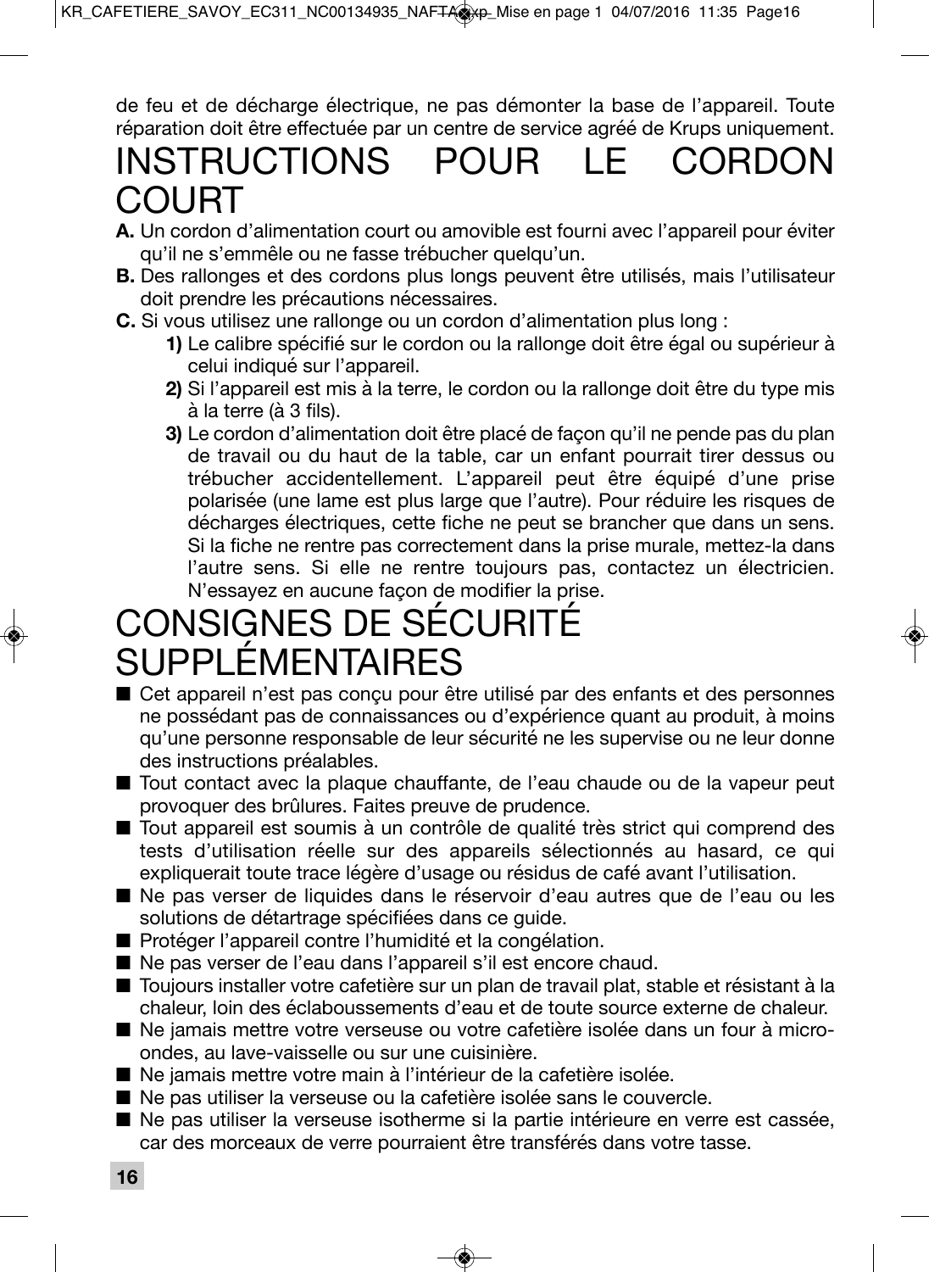de feu et de décharge électrique, ne pas démonter la base de l'appareil. Toute réparation doit être effectuée par un centre de service agréé de Krups uniquement.

# INSTRUCTIONS POUR LE CORDON COURT

- **A.** Un cordon d'alimentation court ou amovible est fourni avec l'appareil pour éviter qu'il ne s'emmêle ou ne fasse trébucher quelqu'un.
- **B.** Des rallonges et des cordons plus longs peuvent être utilisés, mais l'utilisateur doit prendre les précautions nécessaires.
- **C.** Si vous utilisez une rallonge ou un cordon d'alimentation plus long :
	- **1)** Le calibre spécifié sur le cordon ou la rallonge doit être égal ou supérieur à celui indiqué sur l'appareil.
	- **2)** Si l'appareil est mis à la terre, le cordon ou la rallonge doit être du type mis à la terre (à 3 fils).
	- **3)** Le cordon d'alimentation doit être placé de façon qu'il ne pende pas du plan de travail ou du haut de la table, car un enfant pourrait tirer dessus ou trébucher accidentellement. L'appareil peut être équipé d'une prise polarisée (une lame est plus large que l'autre). Pour réduire les risques de décharges électriques, cette fiche ne peut se brancher que dans un sens. Si la fiche ne rentre pas correctement dans la prise murale, mettez-la dans l'autre sens. Si elle ne rentre toujours pas, contactez un électricien. N'essayez en aucune façon de modifier la prise.

# CONSIGNES DE SÉCURITÉ SUPPLÉMENTAIRES

- Cet appareil n'est pas conçu pour être utilisé par des enfants et des personnes ne possédant pas de connaissances ou d'expérience quant au produit, à moins qu'une personne responsable de leur sécurité ne les supervise ou ne leur donne des instructions préalables.
- Tout contact avec la plaque chauffante, de l'eau chaude ou de la vapeur peut provoquer des brûlures. Faites preuve de prudence.
- Tout appareil est soumis à un contrôle de qualité très strict qui comprend des tests d'utilisation réelle sur des appareils sélectionnés au hasard, ce qui expliquerait toute trace légère d'usage ou résidus de café avant l'utilisation.
- Ne pas verser de liquides dans le réservoir d'eau autres que de l'eau ou les solutions de détartrage spécifiées dans ce guide.
- Protéger l'appareil contre l'humidité et la congélation.
- Ne pas verser de l'eau dans l'appareil s'il est encore chaud.
- Toujours installer votre cafetière sur un plan de travail plat, stable et résistant à la chaleur, loin des éclaboussements d'eau et de toute source externe de chaleur.
- Ne jamais mettre votre verseuse ou votre cafetière isolée dans un four à microondes, au lave-vaisselle ou sur une cuisinière.
- Ne jamais mettre votre main à l'intérieur de la cafetière isolée.
- Ne pas utiliser la verseuse ou la cafetière isolée sans le couvercle.
- Ne pas utiliser la verseuse isotherme si la partie intérieure en verre est cassée, car des morceaux de verre pourraient être transférés dans votre tasse.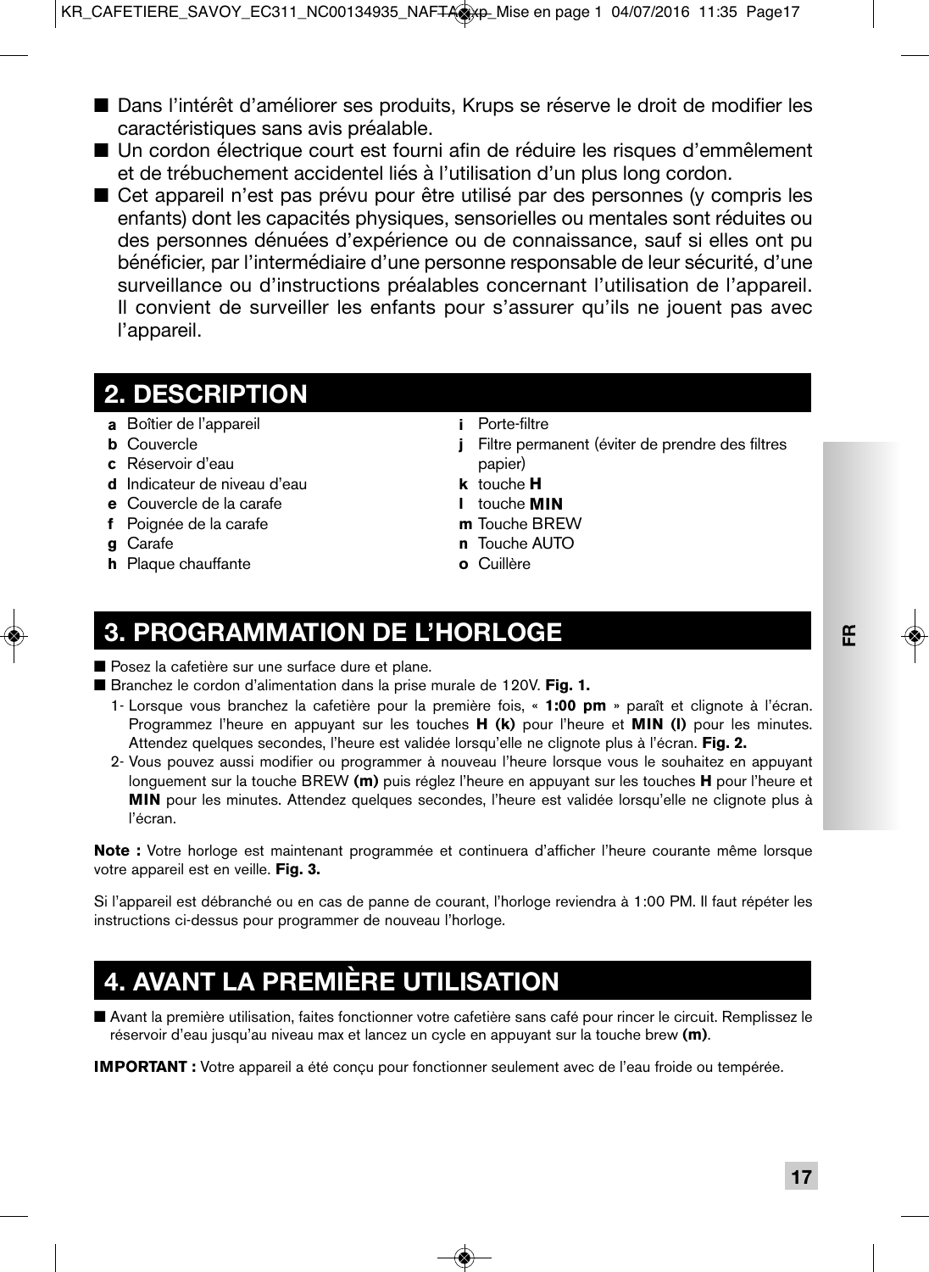- Dans l'intérêt d'améliorer ses produits, Krups se réserve le droit de modifier les caractéristiques sans avis préalable.
- Un cordon électrique court est fourni afin de réduire les risques d'emmêlement et de trébuchement accidentel liés à l'utilisation d'un plus long cordon.
- Cet appareil n'est pas prévu pour être utilisé par des personnes (y compris les enfants) dont les capacités physiques, sensorielles ou mentales sont réduites ou des personnes dénuées d'expérience ou de connaissance, sauf si elles ont pu bénéficier, par l'intermédiaire d'une personne responsable de leur sécurité, d'une surveillance ou d'instructions préalables concernant l'utilisation de l'appareil. Il convient de surveiller les enfants pour s'assurer qu'ils ne jouent pas avec l'appareil.

### **2. DESCRIPTION**

- **a** Boîtier de l'appareil
- **b** Couvercle
- **c** Réservoir d'eau
- **d** Indicateur de niveau d'eau
- **e** Couvercle de la carafe
- **f** Poignée de la carafe
- **g** Carafe
- **h** Plaque chauffante
- **i** Porte-filtre
- **j** Filtre permanent (éviter de prendre des filtres papier)
- **k** touche **H**
- **l** touche **MIN**
- **m** Touche BREW
- **n** Touche AUTO
- **o** Cuillère

# **3. PROGRAMMATION DE L'HORLOGE**

■ Posez la cafetière sur une surface dure et plane.

■ Branchez le cordon d'alimentation dans la prise murale de 120V. **Fig. 1.** 

- 1- Lorsque vous branchez la cafetière pour la première fois, « **1:00 pm** » paraît et clignote à l'écran. Programmez l'heure en appuyant sur les touches **H (k)** pour l'heure et **MIN (l)** pour les minutes. Attendez quelques secondes, l'heure est validée lorsqu'elle ne clignote plus à l'écran. **Fig. 2.**
- 2- Vous pouvez aussi modifier ou programmer à nouveau l'heure lorsque vous le souhaitez en appuyant longuement sur la touche BREW **(m)** puis réglez l'heure en appuyant sur les touches **H** pour l'heure et **MIN** pour les minutes. Attendez quelques secondes, l'heure est validée lorsqu'elle ne clignote plus à l'écran.

**Note :** Votre horloge est maintenant programmée et continuera d'afficher l'heure courante même lorsque votre appareil est en veille. **Fig. 3.**

Si l'appareil est débranché ou en cas de panne de courant, l'horloge reviendra à 1:00 PM. Il faut répéter les instructions ci-dessus pour programmer de nouveau l'horloge.

# **4. AVANT LA PREMIÈRE UTILISATION**

■ Avant la première utilisation, faites fonctionner votre cafetière sans café pour rincer le circuit. Remplissez le réservoir d'eau jusqu'au niveau max et lancez un cycle en appuyant sur la touche brew **(m)**.

**IMPORTANT :** Votre appareil a été conçu pour fonctionner seulement avec de l'eau froide ou tempérée.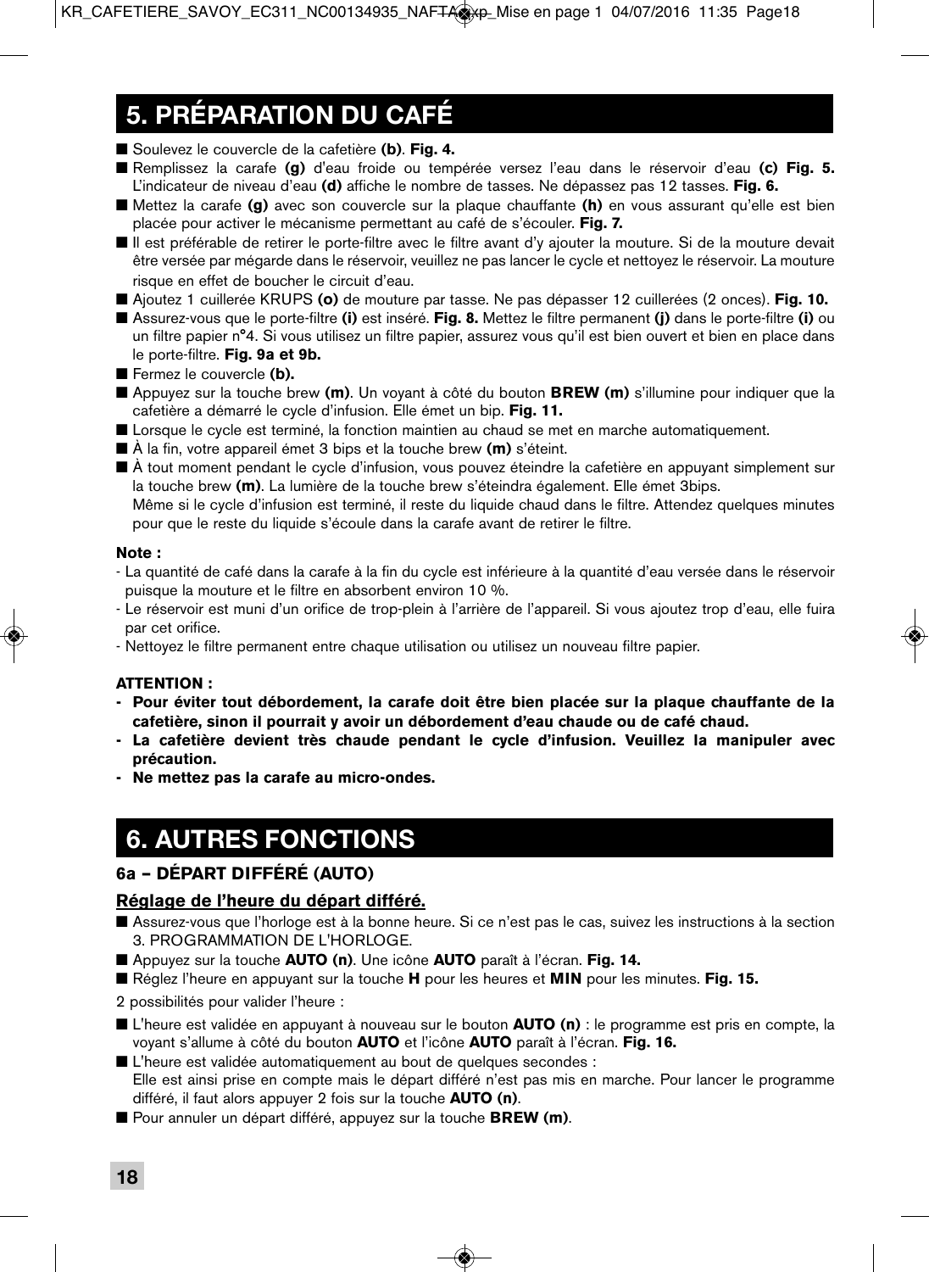# **5. PRÉPARATION DU CAFÉ**

■ Soulevez le couvercle de la cafetière (**b**). **Fig. 4.** 

- Remplissez la carafe **(g)** d'eau froide ou tempérée versez l'eau dans le réservoir d'eau **(c) Fig. 5.** L'indicateur de niveau d'eau **(d)** affiche le nombre de tasses. Ne dépassez pas 12 tasses. **Fig. 6.**
- Mettez la carafe **(g)** avec son couvercle sur la plaque chauffante **(h)** en vous assurant qu'elle est bien placée pour activer le mécanisme permettant au café de s'écouler. **Fig. 7.**
- Il est préférable de retirer le porte-filtre avec le filtre avant d'y ajouter la mouture. Si de la mouture devait être versée par mégarde dans le réservoir, veuillez ne pas lancer le cycle et nettoyez le réservoir. La mouture risque en effet de boucher le circuit d'eau.
- Ajoutez 1 cuillerée KRUPS **(o)** de mouture par tasse. Ne pas dépasser 12 cuillerées (2 onces). **Fig. 10.**
- Assurez-vous que le porte-filtre **(i)** est inséré. **Fig. 8.** Mettez le filtre permanent **(j)** dans le porte-filtre **(i)** ou un filtre papier n°4. Si vous utilisez un filtre papier, assurez vous qu'il est bien ouvert et bien en place dans le porte-filtre. **Fig. 9a et 9b.**
- Fermez le couvercle (**b**).
- Appuyez sur la touche brew (m). Un voyant à côté du bouton **BREW (m)** s'illumine pour indiquer que la cafetière a démarré le cycle d'infusion. Elle émet un bip. **Fig. 11.**
- Lorsque le cycle est terminé, la fonction maintien au chaud se met en marche automatiquement.
- À la fin, votre appareil émet 3 bips et la touche brew **(m)** s'éteint.
- À tout moment pendant le cycle d'infusion, vous pouvez éteindre la cafetière en appuyant simplement sur la touche brew **(m)**. La lumière de la touche brew s'éteindra également. Elle émet 3bips.

 Même si le cycle d'infusion est terminé, il reste du liquide chaud dans le filtre. Attendez quelques minutes pour que le reste du liquide s'écoule dans la carafe avant de retirer le filtre.

### **Note :**

- La quantité de café dans la carafe à la fin du cycle est inférieure à la quantité d'eau versée dans le réservoir puisque la mouture et le filtre en absorbent environ 10 %.
- Le réservoir est muni d'un orifice de trop-plein à l'arrière de l'appareil. Si vous ajoutez trop d'eau, elle fuira par cet orifice.
- Nettoyez le filtre permanent entre chaque utilisation ou utilisez un nouveau filtre papier.

### **ATTENTION :**

- **Pour éviter tout débordement, la carafe doit être bien placée sur la plaque chauffante de la cafetière, sinon il pourrait y avoir un débordement d'eau chaude ou de café chaud.**
- **La cafetière devient très chaude pendant le cycle d'infusion. Veuillez la manipuler avec précaution.**
- **Ne mettez pas la carafe au micro-ondes.**

## **6. AUTRES FONCTIONS**

### **6a – DÉPART DIFFÉRÉ (AUTO)**

### **Réglage de l'heure du départ différé.**

- Assurez-vous que l'horloge est à la bonne heure. Si ce n'est pas le cas, suivez les instructions à la section 3. PROGRAMMATION DE L'HORLOGE.
- Appuyez sur la touche **AUTO (n)**. Une icône **AUTO** paraît à l'écran. Fig. 14.
- Réglez l'heure en appuyant sur la touche **H** pour les heures et **MIN** pour les minutes. **Fig. 15.**
- 2 possibilités pour valider l'heure :
- L'heure est validée en appuyant à nouveau sur le bouton **AUTO (n)** : le programme est pris en compte, la voyant s'allume à côté du bouton **AUTO** et l'icône **AUTO** paraît à l'écran. **Fig. 16.**
- L'heure est validée automatiquement au bout de quelques secondes : Elle est ainsi prise en compte mais le départ différé n'est pas mis en marche. Pour lancer le programme différé, il faut alors appuyer 2 fois sur la touche **AUTO (n)**.
- Pour annuler un départ différé, appuyez sur la touche **BREW (m)**.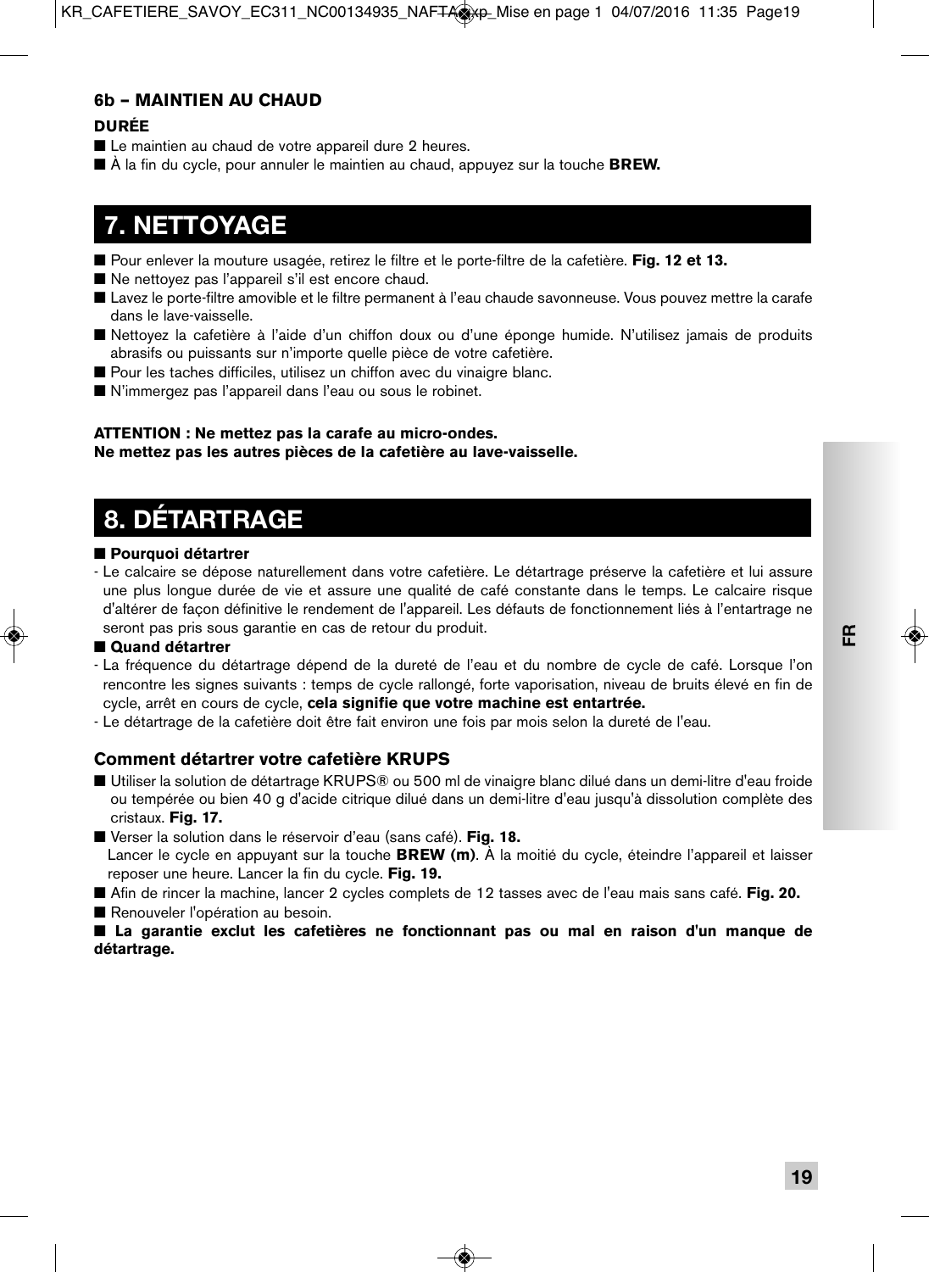### **6b – MAINTIEN AU CHAUD**

### **DURÉE**

- Le maintien au chaud de votre appareil dure 2 heures.
- À la fin du cycle, pour annuler le maintien au chaud, appuyez sur la touche **BREW.**

## **7. NETTOYAGE**

- Pour enlever la mouture usagée, retirez le filtre et le porte-filtre de la cafetière. **Fig. 12 et 13.**
- Ne nettovez pas l'appareil s'il est encore chaud.
- Lavez le porte-filtre amovible et le filtre permanent à l'eau chaude savonneuse. Vous pouvez mettre la carafe dans le lave-vaisselle.
- Nettoyez la cafetière à l'aide d'un chiffon doux ou d'une éponge humide. N'utilisez jamais de produits abrasifs ou puissants sur n'importe quelle pièce de votre cafetière.
- Pour les taches difficiles, utilisez un chiffon avec du vinaigre blanc.
- N'immergez pas l'appareil dans l'eau ou sous le robinet.

### **ATTENTION : Ne mettez pas la carafe au micro-ondes. Ne mettez pas les autres pièces de la cafetière au lave-vaisselle.**

# **8. DÉTARTRAGE**

### ■ **Pourquoi détartrer**

- Le calcaire se dépose naturellement dans votre cafetière. Le détartrage préserve la cafetière et lui assure une plus longue durée de vie et assure une qualité de café constante dans le temps. Le calcaire risque d'altérer de façon définitive le rendement de l'appareil. Les défauts de fonctionnement liés à l'entartrage ne seront pas pris sous garantie en cas de retour du produit.

### ■ **Quand détartrer**

- La fréquence du détartrage dépend de la dureté de l'eau et du nombre de cycle de café. Lorsque l'on rencontre les signes suivants : temps de cycle rallongé, forte vaporisation, niveau de bruits élevé en fin de cycle, arrêt en cours de cycle, **cela signifie que votre machine est entartrée.**
- Le détartrage de la cafetière doit être fait environ une fois par mois selon la dureté de l'eau.

### **Comment détartrer votre cafetière KRUPS**

- Utiliser la solution de détartrage KRUPS® ou 500 ml de vinaigre blanc dilué dans un demi-litre d'eau froide ou tempérée ou bien 40 g d'acide citrique dilué dans un demi-litre d'eau jusqu'à dissolution complète des cristaux. **Fig. 17.**
- Verser la solution dans le réservoir d'eau (sans café). **Fig. 18.**
- Lancer le cycle en appuyant sur la touche **BREW (m)**. À la moitié du cycle, éteindre l'appareil et laisser reposer une heure. Lancer la fin du cycle. **Fig. 19.**
- Afin de rincer la machine, lancer 2 cycles complets de 12 tasses avec de l'eau mais sans café. **Fig. 20.**
- Renouveler l'opération au besoin.

■ **La garantie exclut les cafetières ne fonctionnant pas ou mal en raison d'un manque de détartrage.**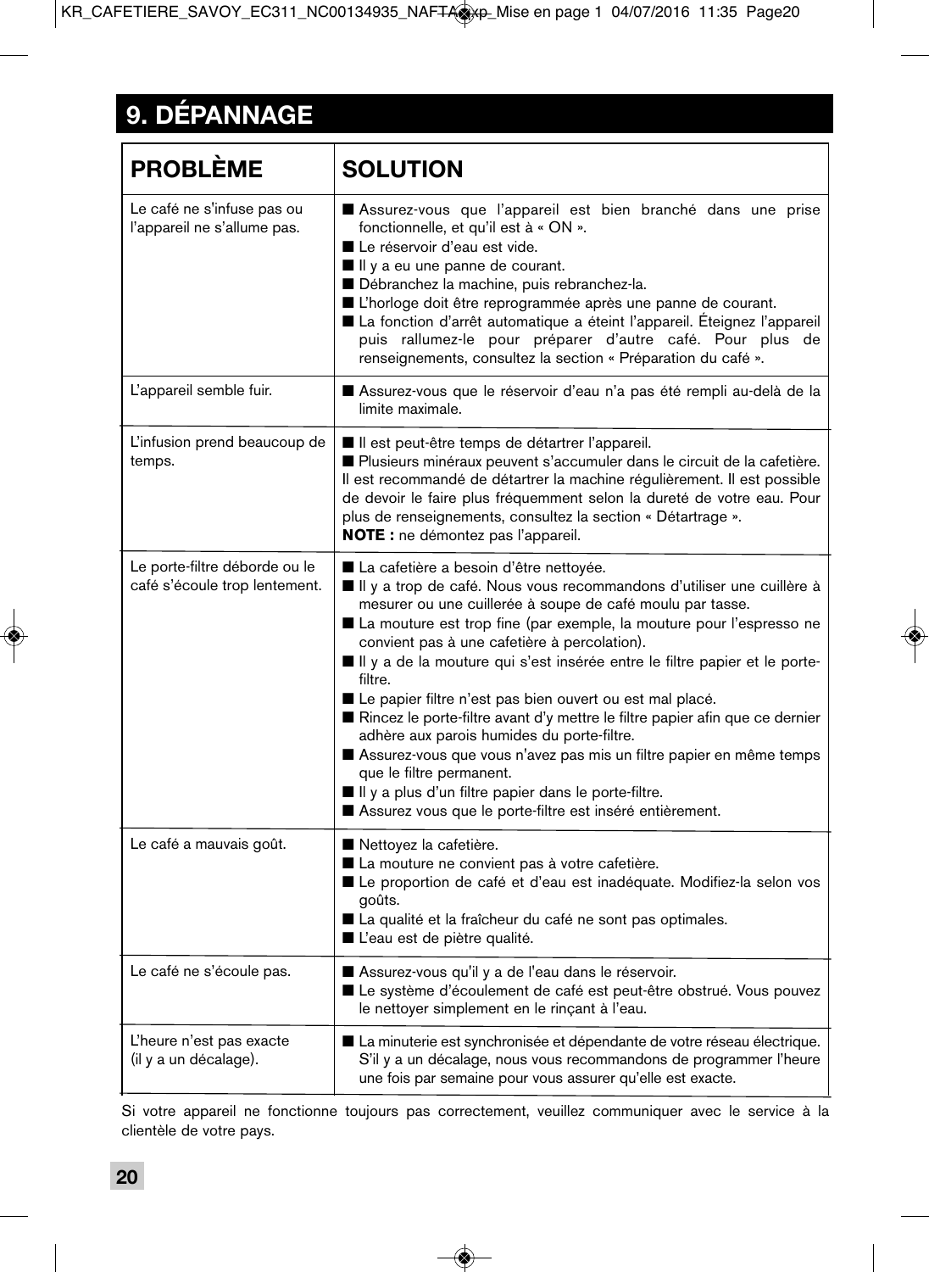# **9. DÉPANNAGE**

| <b>PROBLÈME</b>                                                | <b>SOLUTION</b>                                                                                                                                                                                                                                                                                                                                                                                                                                                                                                                                                                                                                                                                                                                                                                                                       |
|----------------------------------------------------------------|-----------------------------------------------------------------------------------------------------------------------------------------------------------------------------------------------------------------------------------------------------------------------------------------------------------------------------------------------------------------------------------------------------------------------------------------------------------------------------------------------------------------------------------------------------------------------------------------------------------------------------------------------------------------------------------------------------------------------------------------------------------------------------------------------------------------------|
| Le café ne s'infuse pas ou<br>l'appareil ne s'allume pas.      | Assurez-vous que l'appareil est bien branché dans une prise<br>fonctionnelle, et qu'il est à « ON ».<br>■ Le réservoir d'eau est vide.<br>If If y a eu une panne de courant.<br>Débranchez la machine, puis rebranchez-la.<br>L'horloge doit être reprogrammée après une panne de courant.<br>La fonction d'arrêt automatique a éteint l'appareil. Éteignez l'appareil<br>puis rallumez-le pour préparer d'autre café. Pour plus de<br>renseignements, consultez la section « Préparation du café ».                                                                                                                                                                                                                                                                                                                  |
| L'appareil semble fuir.                                        | ■ Assurez-vous que le réservoir d'eau n'a pas été rempli au-delà de la<br>limite maximale.                                                                                                                                                                                                                                                                                                                                                                                                                                                                                                                                                                                                                                                                                                                            |
| L'infusion prend beaucoup de<br>temps.                         | Il est peut-être temps de détartrer l'appareil.<br>Plusieurs minéraux peuvent s'accumuler dans le circuit de la cafetière.<br>Il est recommandé de détartrer la machine régulièrement. Il est possible<br>de devoir le faire plus fréquemment selon la dureté de votre eau. Pour<br>plus de renseignements, consultez la section « Détartrage ».<br>NOTE : ne démontez pas l'appareil.                                                                                                                                                                                                                                                                                                                                                                                                                                |
| Le porte-filtre déborde ou le<br>café s'écoule trop lentement. | ■ La cafetière a besoin d'être nettoyée.<br>Il y a trop de café. Nous vous recommandons d'utiliser une cuillère à<br>mesurer ou une cuillerée à soupe de café moulu par tasse.<br>■ La mouture est trop fine (par exemple, la mouture pour l'espresso ne<br>convient pas à une cafetière à percolation).<br>Il y a de la mouture qui s'est insérée entre le filtre papier et le porte-<br>filtre.<br>Le papier filtre n'est pas bien ouvert ou est mal placé.<br>Rincez le porte-filtre avant d'y mettre le filtre papier afin que ce dernier<br>adhère aux parois humides du porte-filtre.<br>Assurez-vous que vous n'avez pas mis un filtre papier en même temps<br>que le filtre permanent.<br>If Il y a plus d'un filtre papier dans le porte-filtre.<br>Assurez vous que le porte-filtre est inséré entièrement. |
| Le café a mauvais goût.                                        | ■ Nettoyez la cafetière.<br>La mouture ne convient pas à votre cafetière.<br>Le proportion de café et d'eau est inadéquate. Modifiez-la selon vos<br>goûts.<br>La qualité et la fraîcheur du café ne sont pas optimales.<br>■ L'eau est de piètre qualité.                                                                                                                                                                                                                                                                                                                                                                                                                                                                                                                                                            |
| Le café ne s'écoule pas.                                       | Assurez-vous qu'il y a de l'eau dans le réservoir.<br>Le système d'écoulement de café est peut-être obstrué. Vous pouvez<br>le nettoyer simplement en le rinçant à l'eau.                                                                                                                                                                                                                                                                                                                                                                                                                                                                                                                                                                                                                                             |
| L'heure n'est pas exacte<br>(il y a un décalage).              | La minuterie est synchronisée et dépendante de votre réseau électrique.<br>S'il y a un décalage, nous vous recommandons de programmer l'heure<br>une fois par semaine pour vous assurer qu'elle est exacte.                                                                                                                                                                                                                                                                                                                                                                                                                                                                                                                                                                                                           |

Si votre appareil ne fonctionne toujours pas correctement, veuillez communiquer avec le service à la clientèle de votre pays.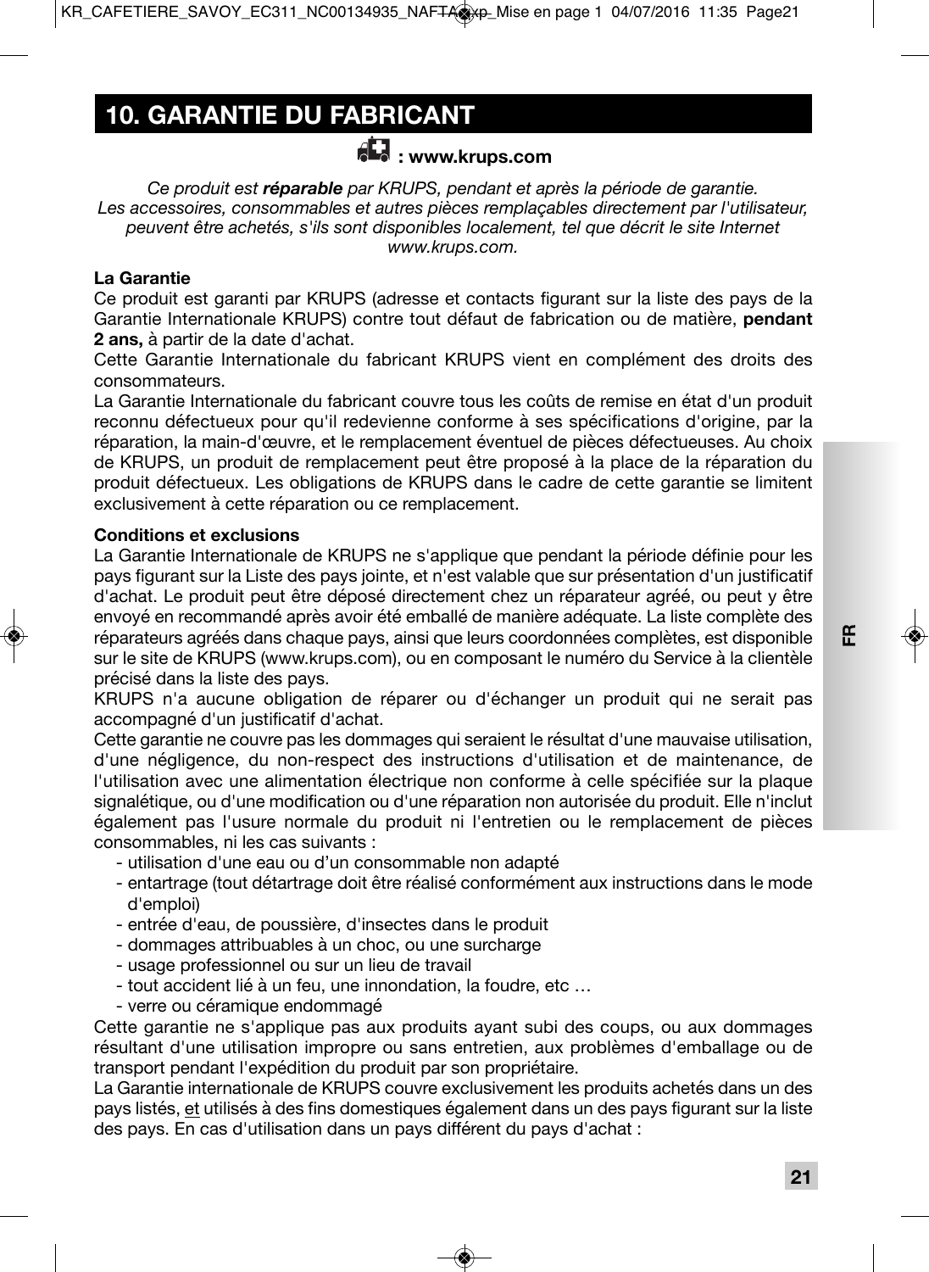# **10. GARANTIE DU FABRICANT**

### **: www.krups.com**

*Ce produit est réparable par KRUPS, pendant et après la période de garantie. Les accessoires, consommables et autres pièces remplaçables directement par l'utilisateur, peuvent être achetés, s'ils sont disponibles localement, tel que décrit le site Internet www.krups.com.*

### **La Garantie**

Ce produit est garanti par KRUPS (adresse et contacts figurant sur la liste des pays de la Garantie Internationale KRUPS) contre tout défaut de fabrication ou de matière, **pendant 2 ans,** à partir de la date d'achat.

Cette Garantie Internationale du fabricant KRUPS vient en complément des droits des consommateurs.

La Garantie Internationale du fabricant couvre tous les coûts de remise en état d'un produit reconnu défectueux pour qu'il redevienne conforme à ses spécifications d'origine, par la réparation, la main-d'œuvre, et le remplacement éventuel de pièces défectueuses. Au choix de KRUPS, un produit de remplacement peut être proposé à la place de la réparation du produit défectueux. Les obligations de KRUPS dans le cadre de cette garantie se limitent exclusivement à cette réparation ou ce remplacement.

### **Conditions et exclusions**

La Garantie Internationale de KRUPS ne s'applique que pendant la période définie pour les pays figurant sur la Liste des pays jointe, et n'est valable que sur présentation d'un justificatif d'achat. Le produit peut être déposé directement chez un réparateur agréé, ou peut y être envoyé en recommandé après avoir été emballé de manière adéquate. La liste complète des réparateurs agréés dans chaque pays, ainsi que leurs coordonnées complètes, est disponible sur le site de KRUPS (www.krups.com), ou en composant le numéro du Service à la clientèle précisé dans la liste des pays.

KRUPS n'a aucune obligation de réparer ou d'échanger un produit qui ne serait pas accompagné d'un justificatif d'achat.

Cette garantie ne couvre pas les dommages qui seraient le résultat d'une mauvaise utilisation, d'une négligence, du non-respect des instructions d'utilisation et de maintenance, de l'utilisation avec une alimentation électrique non conforme à celle spécifiée sur la plaque signalétique, ou d'une modification ou d'une réparation non autorisée du produit. Elle n'inclut également pas l'usure normale du produit ni l'entretien ou le remplacement de pièces consommables, ni les cas suivants :

- utilisation d'une eau ou d'un consommable non adapté
- entartrage (tout détartrage doit être réalisé conformément aux instructions dans le mode d'emploi)
- entrée d'eau, de poussière, d'insectes dans le produit
- dommages attribuables à un choc, ou une surcharge
- usage professionnel ou sur un lieu de travail
- tout accident lié à un feu, une innondation, la foudre, etc …
- verre ou céramique endommagé

Cette garantie ne s'applique pas aux produits ayant subi des coups, ou aux dommages résultant d'une utilisation impropre ou sans entretien, aux problèmes d'emballage ou de transport pendant l'expédition du produit par son propriétaire.

La Garantie internationale de KRUPS couvre exclusivement les produits achetés dans un des pays listés, et utilisés à des fins domestiques également dans un des pays figurant sur la liste des pays. En cas d'utilisation dans un pays différent du pays d'achat :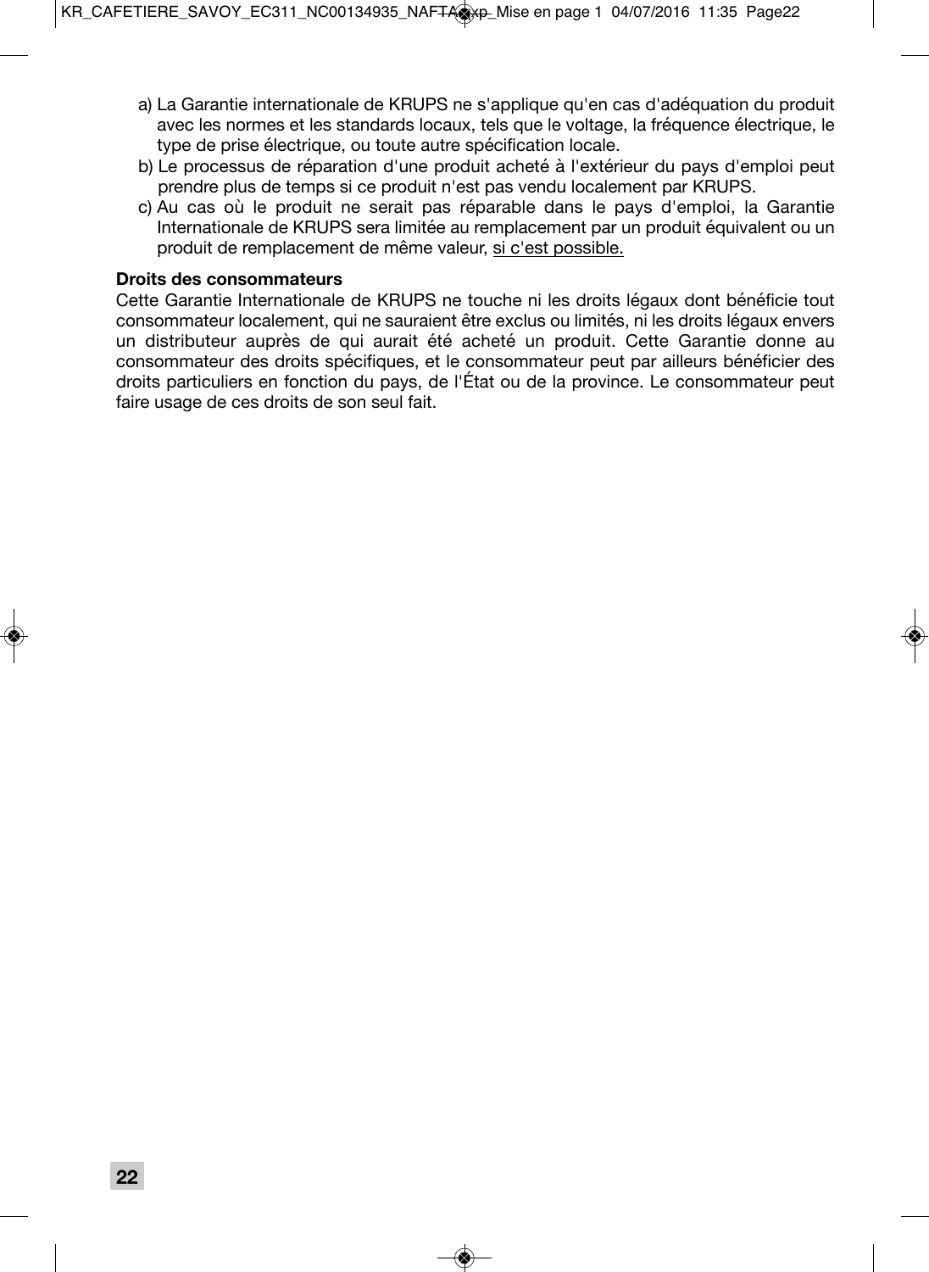- a) La Garantie internationale de KRUPS ne s'applique qu'en cas d'adéquation du produit avec les normes et les standards locaux, tels que le voltage, la fréquence électrique, le type de prise électrique, ou toute autre spécification locale.
- b) Le processus de réparation d'une produit acheté à l'extérieur du pays d'emploi peut prendre plus de temps si ce produit n'est pas vendu localement par KRUPS.
- c) Au cas où le produit ne serait pas réparable dans le pays d'emploi, la Garantie Internationale de KRUPS sera limitée au remplacement par un produit équivalent ou un produit de remplacement de même valeur, si c'est possible.

### **Droits des consommateurs**

Cette Garantie Internationale de KRUPS ne touche ni les droits légaux dont bénéficie tout consommateur localement, qui ne sauraient être exclus ou limités, ni les droits légaux envers un distributeur auprès de qui aurait été acheté un produit. Cette Garantie donne au consommateur des droits spécifiques, et le consommateur peut par ailleurs bénéficier des droits particuliers en fonction du pays, de l'État ou de la province. Le consommateur peut faire usage de ces droits de son seul fait.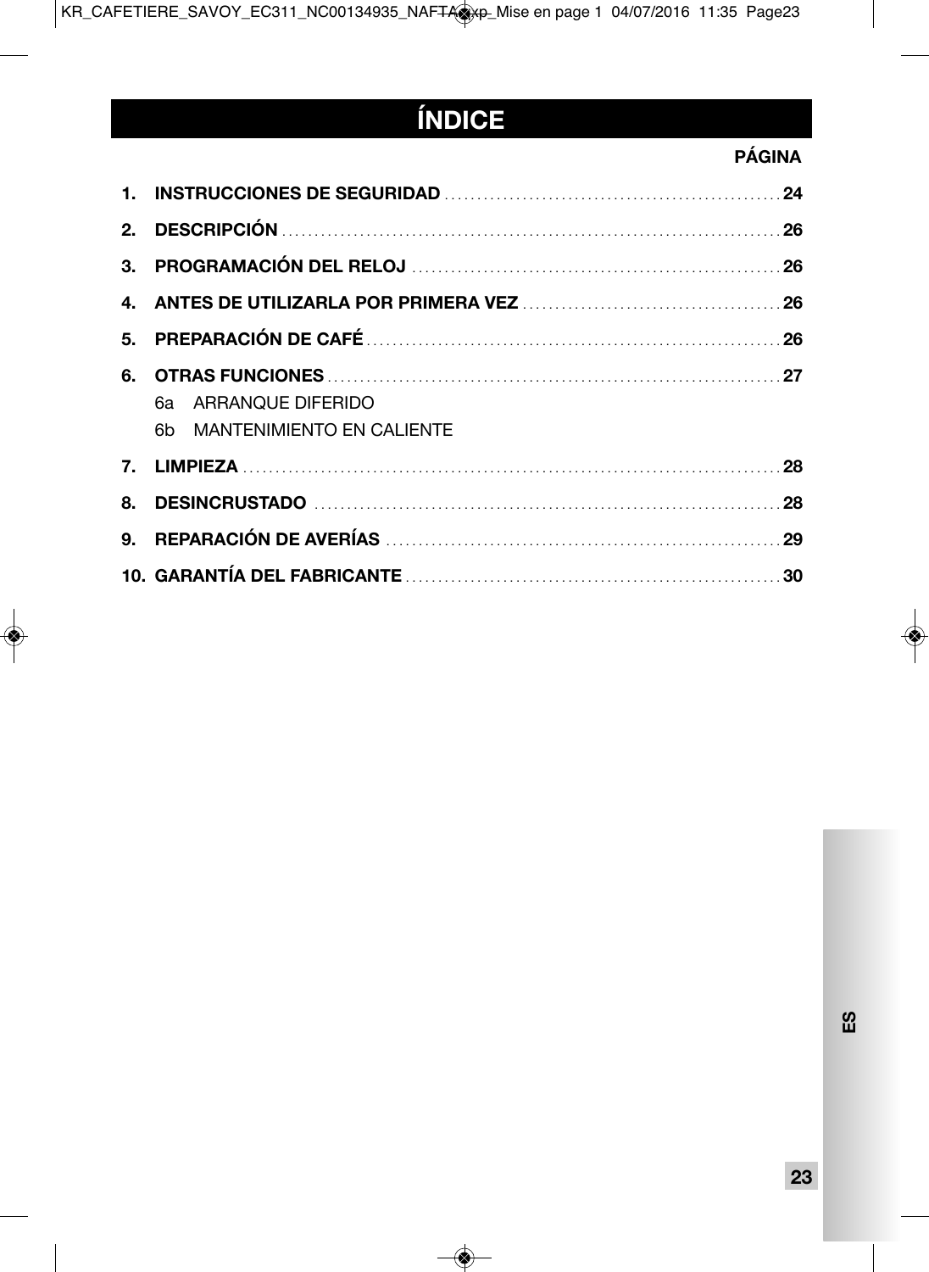# **ÍNDICE**

### **PAGINA**

| 6a ARRANQUE DIFERIDO         |  |
|------------------------------|--|
| 6b MANTENIMIENTO EN CALIENTE |  |
|                              |  |
|                              |  |
|                              |  |
|                              |  |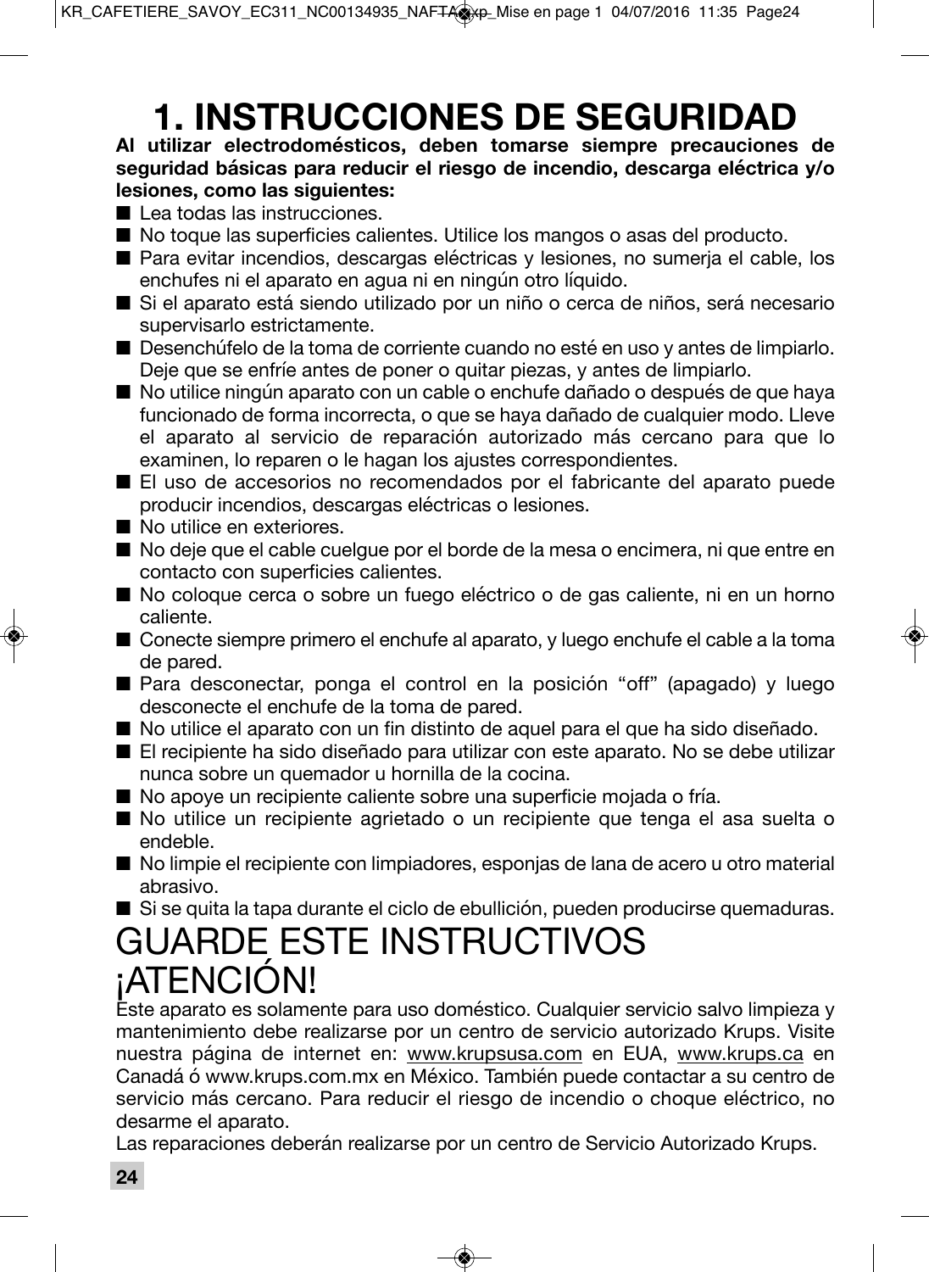# **1. INSTRUCCIONES DE SEGURIDAD**

### **Al utilizar electrodomésticos, deben tomarse siempre precauciones de seguridad básicas para reducir el riesgo de incendio, descarga eléctrica y/o lesiones, como las siguientes:**

- Lea todas las instrucciones.
- No toque las superficies calientes. Utilice los mangos o asas del producto.
- Para evitar incendios, descargas eléctricas y lesiones, no sumeria el cable, los enchufes ni el aparato en agua ni en ningún otro líquido.
- Si el aparato está siendo utilizado por un niño o cerca de niños, será necesario supervisarlo estrictamente.
- Desenchúfelo de la toma de corriente cuando no esté en uso y antes de limpiarlo. Deje que se enfríe antes de poner o quitar piezas, y antes de limpiarlo.
- No utilice ningún aparato con un cable o enchufe dañado o después de que haya funcionado de forma incorrecta, o que se haya dañado de cualquier modo. Lleve el aparato al servicio de reparación autorizado más cercano para que lo examinen, lo reparen o le hagan los ajustes correspondientes.
- El uso de accesorios no recomendados por el fabricante del aparato puede producir incendios, descargas eléctricas o lesiones.
- No utilice en exteriores.
- No deje que el cable cuelgue por el borde de la mesa o encimera, ni que entre en contacto con superficies calientes.
- No coloque cerca o sobre un fuego eléctrico o de gas caliente, ni en un horno caliente.
- Conecte siempre primero el enchufe al aparato, y luego enchufe el cable a la toma de pared.
- Para desconectar, ponga el control en la posición "off" (apagado) y luego desconecte el enchufe de la toma de pared.
- No utilice el aparato con un fin distinto de aquel para el que ha sido diseñado.
- El recipiente ha sido diseñado para utilizar con este aparato. No se debe utilizar nunca sobre un quemador u hornilla de la cocina.
- No apoye un recipiente caliente sobre una superficie mojada o fría.
- No utilice un recipiente agrietado o un recipiente que tenga el asa suelta o endeble.
- No limpie el recipiente con limpiadores, esponjas de lana de acero u otro material abrasivo.
- Si se quita la tapa durante el ciclo de ebullición, pueden producirse quemaduras.

# GUARDE ESTE INSTRUCTIVOS ¡ATENCIÓN!

Este aparato es solamente para uso doméstico. Cualquier servicio salvo limpieza y mantenimiento debe realizarse por un centro de servicio autorizado Krups. Visite nuestra página de internet en: www.krupsusa.com en EUA, www.krups.ca en Canadá ó www.krups.com.mx en México. También puede contactar a su centro de servicio más cercano. Para reducir el riesgo de incendio o choque eléctrico, no desarme el aparato.

Las reparaciones deberán realizarse por un centro de Servicio Autorizado Krups.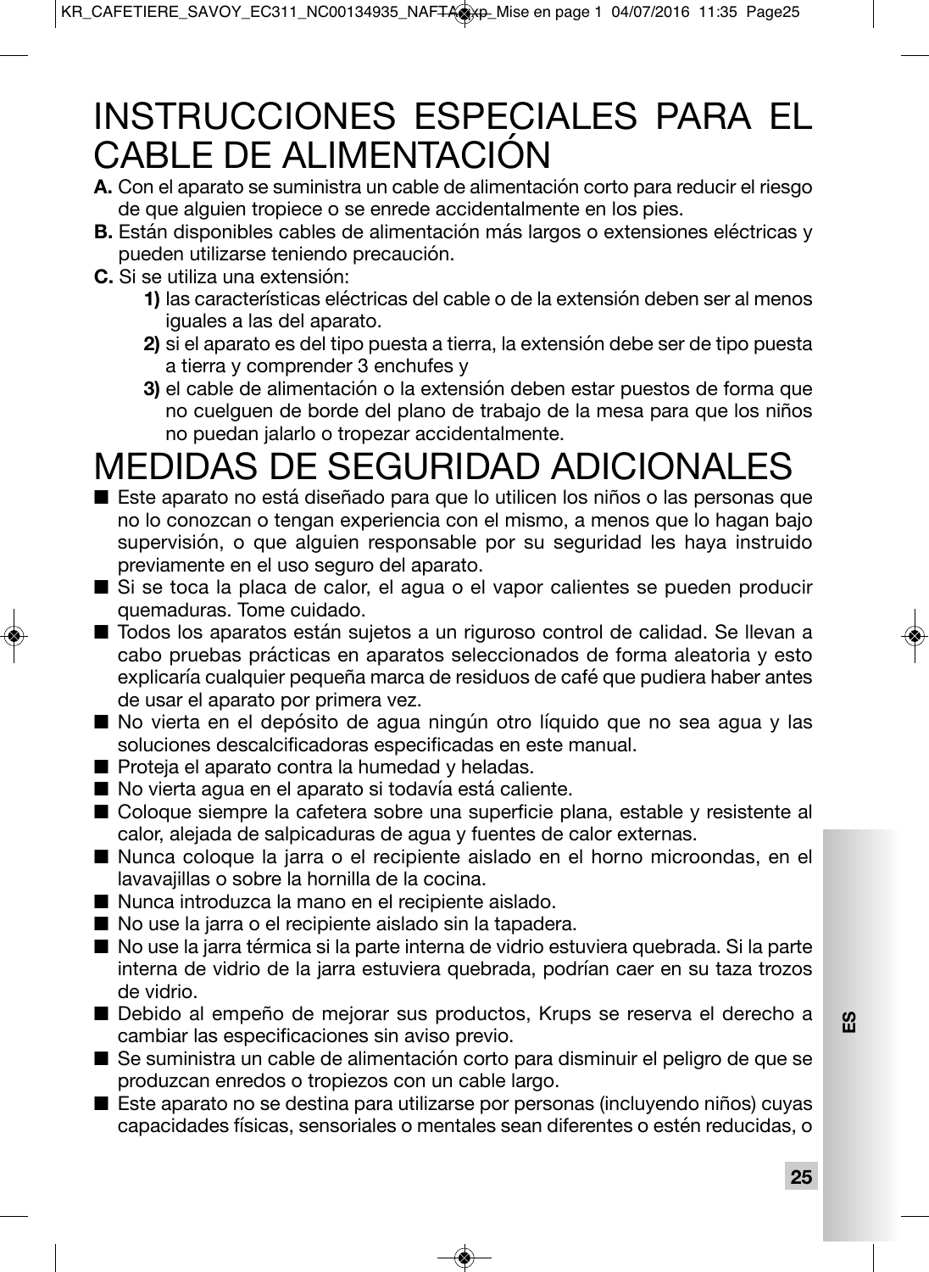# INSTRUCCIONES ESPECIALES PARA EL CABLE DE ALIMENTACIÓN

- **A.** Con el aparato se suministra un cable de alimentación corto para reducir el riesgo de que alguien tropiece o se enrede accidentalmente en los pies.
- **B.** Están disponibles cables de alimentación más largos o extensiones eléctricas y pueden utilizarse teniendo precaución.
- **C.** Si se utiliza una extensión:
	- **1)** las características eléctricas del cable o de la extensión deben ser al menos iguales a las del aparato.
	- **2)** si el aparato es del tipo puesta a tierra, la extensión debe ser de tipo puesta a tierra y comprender 3 enchufes y
	- **3)** el cable de alimentación o la extensión deben estar puestos de forma que no cuelguen de borde del plano de trabajo de la mesa para que los niños no puedan jalarlo o tropezar accidentalmente.

# MEDIDAS DE SEGURIDAD ADICIONALES

- Este aparato no está diseñado para que lo utilicen los niños o las personas que no lo conozcan o tengan experiencia con el mismo, a menos que lo hagan bajo supervisión, o que alguien responsable por su seguridad les haya instruido previamente en el uso seguro del aparato.
- Si se toca la placa de calor, el agua o el vapor calientes se pueden producir quemaduras. Tome cuidado.
- Todos los aparatos están sujetos a un riguroso control de calidad. Se llevan a cabo pruebas prácticas en aparatos seleccionados de forma aleatoria y esto explicaría cualquier pequeña marca de residuos de café que pudiera haber antes de usar el aparato por primera vez.
- No vierta en el depósito de agua ningún otro líquido que no sea agua y las soluciones descalcificadoras especificadas en este manual.
- Proteja el aparato contra la humedad y heladas.
- No vierta agua en el aparato si todavía está caliente.
- Coloque siempre la cafetera sobre una superficie plana, estable y resistente al calor, alejada de salpicaduras de agua y fuentes de calor externas.
- Nunca coloque la jarra o el recipiente aislado en el horno microondas, en el lavavajillas o sobre la hornilla de la cocina.
- Nunca introduzca la mano en el recipiente aislado.
- No use la jarra o el recipiente aislado sin la tapadera.
- No use la jarra térmica si la parte interna de vidrio estuviera quebrada. Si la parte interna de vidrio de la jarra estuviera quebrada, podrían caer en su taza trozos de vidrio.
- Debido al empeño de mejorar sus productos, Krups se reserva el derecho a cambiar las especificaciones sin aviso previo.
- Se suministra un cable de alimentación corto para disminuir el peligro de que se produzcan enredos o tropiezos con un cable largo.
- Este aparato no se destina para utilizarse por personas (incluyendo niños) cuyas capacidades físicas, sensoriales o mentales sean diferentes o estén reducidas, o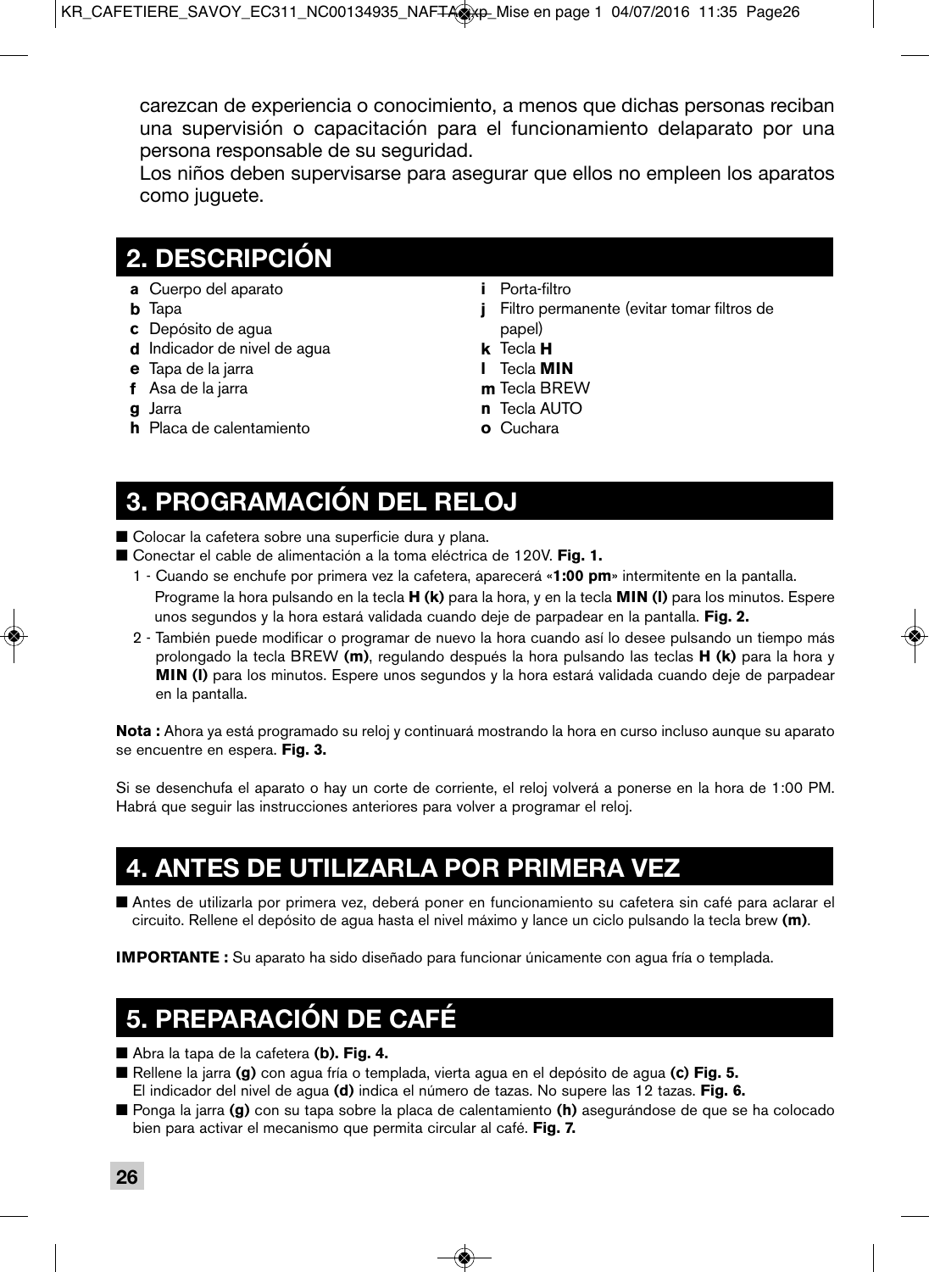carezcan de experiencia o conocimiento, a menos que dichas personas reciban una supervisión o capacitación para el funcionamiento delaparato por una persona responsable de su seguridad.

 Los niños deben supervisarse para asegurar que ellos no empleen los aparatos como juguete.

### **2. DESCRIPCIÓN**

- **a** Cuerpo del aparato
- **b** Tapa
- **c** Depósito de agua
- **d** Indicador de nivel de agua
- **e** Tapa de la jarra
- **f** Asa de la jarra
- **g** Jarra
- **h** Placa de calentamiento
- **i** Porta-filtro
- **j** Filtro permanente (evitar tomar filtros de papel)
- **k** Tecla **H**
- **l** Tecla **MIN**
- **m** Tecla BREW
- **n** Tecla AUTO
- **o** Cuchara

### **3. PROGRAMACIÓN DEL RELOJ**

- Colocar la cafetera sobre una superficie dura y plana.
- Conectar el cable de alimentación a la toma eléctrica de 120V. **Fig. 1.** 
	- 1 Cuando se enchufe por primera vez la cafetera, aparecerá «**1:00 pm**» intermitente en la pantalla. Programe la hora pulsando en la tecla **H (k)** para la hora, y en la tecla **MIN (l)** para los minutos. Espere unos segundos y la hora estará validada cuando deje de parpadear en la pantalla. **Fig. 2.**
	- 2 También puede modificar o programar de nuevo la hora cuando así lo desee pulsando un tiempo más prolongado la tecla BREW **(m)**, regulando después la hora pulsando las teclas **H (k)** para la hora y **MIN (l)** para los minutos. Espere unos segundos y la hora estará validada cuando deje de parpadear en la pantalla.

**Nota :** Ahora ya está programado su reloj y continuará mostrando la hora en curso incluso aunque su aparato se encuentre en espera. **Fig. 3.**

Si se desenchufa el aparato o hay un corte de corriente, el reloj volverá a ponerse en la hora de 1:00 PM. Habrá que seguir las instrucciones anteriores para volver a programar el reloj.

### **4. ANTES DE UTILIZARLA POR PRIMERA VEZ**

■ Antes de utilizarla por primera vez, deberá poner en funcionamiento su cafetera sin café para aclarar el circuito. Rellene el depósito de agua hasta el nivel máximo y lance un ciclo pulsando la tecla brew **(m)**.

**IMPORTANTE :** Su aparato ha sido diseñado para funcionar únicamente con agua fría o templada.

## **5. PREPARACIÓN DE CAFÉ**

- Abra la tapa de la cafetera **(b). Fig. 4.**
- Rellene la jarra **(g)** con agua fría o templada, vierta agua en el depósito de agua **(c) Fig. 5.** El indicador del nivel de agua **(d)** indica el número de tazas. No supere las 12 tazas. **Fig. 6.**
- Ponga la jarra **(g)** con su tapa sobre la placa de calentamiento **(h)** asegurándose de que se ha colocado bien para activar el mecanismo que permita circular al café. **Fig. 7.**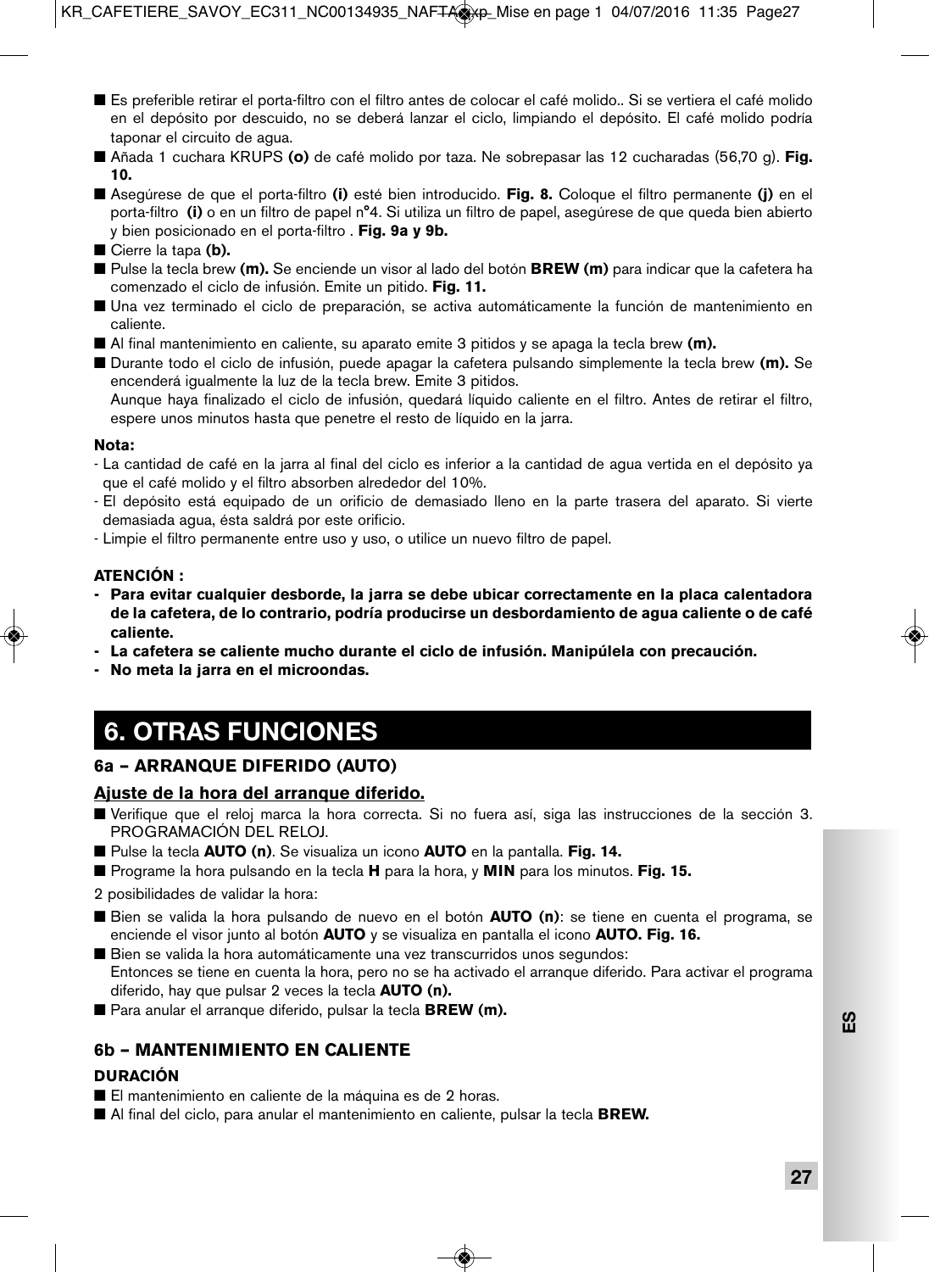- Es preferible retirar el porta-filtro con el filtro antes de colocar el café molido.. Si se vertiera el café molido en el depósito por descuido, no se deberá lanzar el ciclo, limpiando el depósito. El café molido podría taponar el circuito de agua.
- Añada 1 cuchara KRUPS **(o)** de café molido por taza. Ne sobrepasar las 12 cucharadas (56,70 g). **Fig. 10.**
- Asegúrese de que el porta-filtro **(i)** esté bien introducido. **Fig. 8.** Coloque el filtro permanente **(i)** en el porta-filtro **(i)** o en un filtro de papel n°4. Si utiliza un filtro de papel, asegúrese de que queda bien abierto y bien posicionado en el porta-filtro . **Fig. 9a y 9b.**
- Cierre la tapa (**b**).
- Pulse la tecla brew (**m).** Se enciende un visor al lado del botón **BREW (m)** para indicar que la cafetera ha comenzado el ciclo de infusión. Emite un pitido. **Fig. 11.**
- Una vez terminado el ciclo de preparación, se activa automáticamente la función de mantenimiento en caliente.
- Al final mantenimiento en caliente, su aparato emite 3 pitidos y se apaga la tecla brew **(m).**
- Durante todo el ciclo de infusión, puede apagar la cafetera pulsando simplemente la tecla brew **(m).** Se encenderá igualmente la luz de la tecla brew. Emite 3 pitidos.

 Aunque haya finalizado el ciclo de infusión, quedará líquido caliente en el filtro. Antes de retirar el filtro, espere unos minutos hasta que penetre el resto de líquido en la jarra.

#### **Nota:**

- La cantidad de café en la jarra al final del ciclo es inferior a la cantidad de agua vertida en el depósito ya que el café molido y el filtro absorben alrededor del 10%.
- El depósito está equipado de un orificio de demasiado lleno en la parte trasera del aparato. Si vierte demasiada agua, ésta saldrá por este orificio.
- Limpie el filtro permanente entre uso y uso, o utilice un nuevo filtro de papel.

#### **ATENCIÓN :**

- **Para evitar cualquier desborde, la jarra se debe ubicar correctamente en la placa calentadora de la cafetera, de lo contrario, podría producirse un desbordamiento de agua caliente o de café caliente.**
- **La cafetera se caliente mucho durante el ciclo de infusión. Manipúlela con precaución.**
- **No meta la jarra en el microondas.**

## **6. OTRAS FUNCIONES**

### **6a – ARRANQUE DIFERIDO (AUTO)**

#### **Ajuste de la hora del arranque diferido.**

- Verifique que el reloj marca la hora correcta. Si no fuera así, siga las instrucciones de la sección 3. PROGRAMACIÓN DEL RELOJ.
- Pulse la tecla **AUTO** (n). Se visualiza un icono **AUTO** en la pantalla. **Fig. 14.**
- Programe la hora pulsando en la tecla **H** para la hora, y **MIN** para los minutos. **Fig. 15.**
- 2 posibilidades de validar la hora:
- Bien se valida la hora pulsando de nuevo en el botón **AUTO (n)**: se tiene en cuenta el programa, se enciende el visor junto al botón **AUTO** y se visualiza en pantalla el icono **AUTO. Fig. 16.**
- Bien se valida la hora automáticamente una vez transcurridos unos segundos: Entonces se tiene en cuenta la hora, pero no se ha activado el arranque diferido. Para activar el programa diferido, hay que pulsar 2 veces la tecla **AUTO (n).**
- Para anular el arranque diferido, pulsar la tecla **BREW (m).**

### **6b – MANTENIMIENTO EN CALIENTE**

#### **DURACIÓN**

- El mantenimiento en caliente de la máquina es de 2 horas.
- Al final del ciclo, para anular el mantenimiento en caliente, pulsar la tecla **BREW.**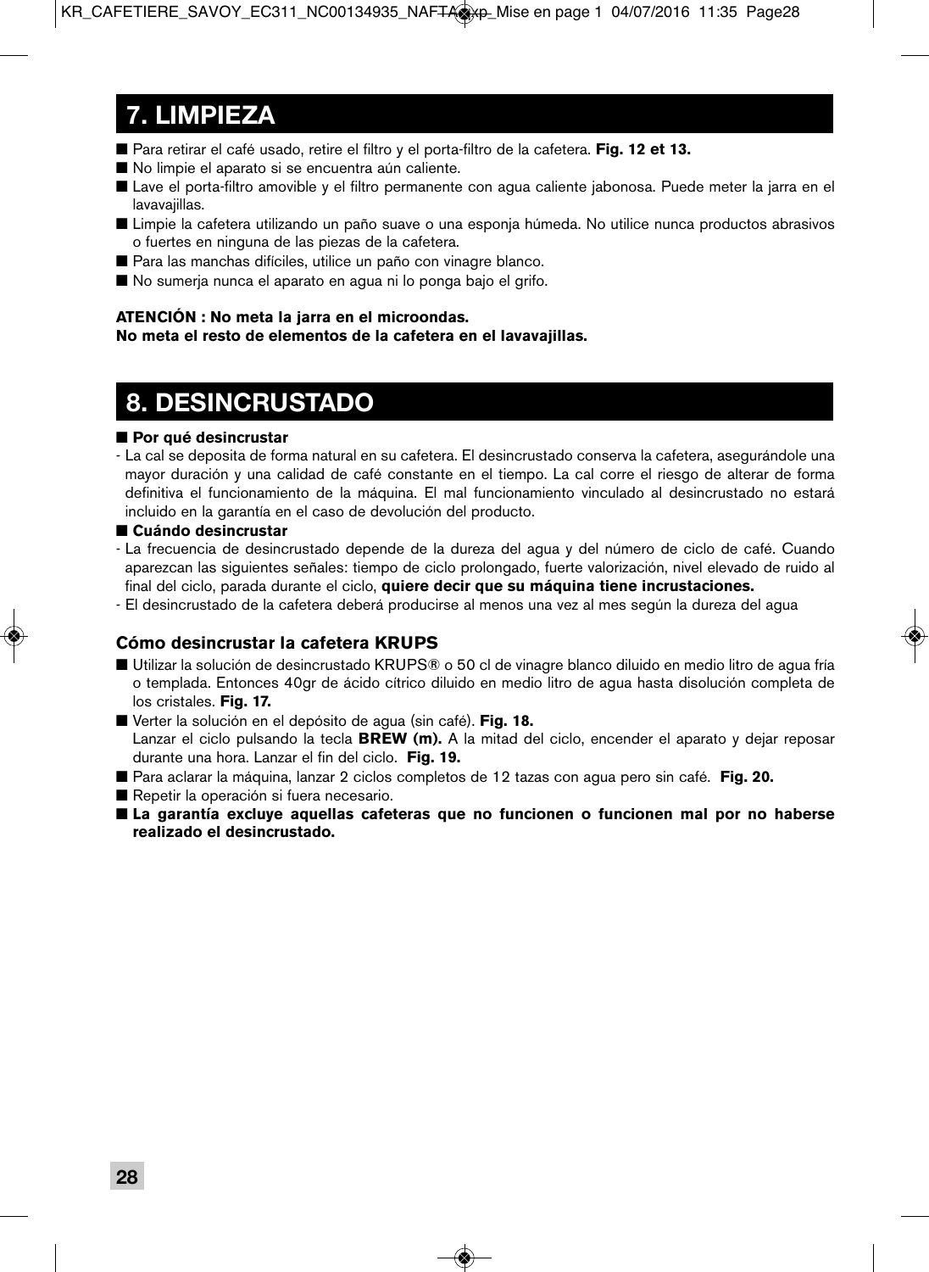# **7. LIMPIEZA**

- Para retirar el café usado, retire el filtro y el porta-filtro de la cafetera. **Fig. 12 et 13.**
- No limpie el aparato si se encuentra aún caliente.
- Lave el porta-filtro amovible y el filtro permanente con agua caliente jabonosa. Puede meter la jarra en el lavavajillas.
- Limpie la cafetera utilizando un paño suave o una esponja húmeda. No utilice nunca productos abrasivos o fuertes en ninguna de las piezas de la cafetera.
- Para las manchas difíciles, utilice un paño con vinagre blanco.
- No sumerja nunca el aparato en agua ni lo ponga bajo el grifo.

### **ATENCIÓN : No meta la jarra en el microondas.**

#### **No meta el resto de elementos de la cafetera en el lavavajillas.**

## **8. DESINCRUSTADO**

### ■ Por qué desincrustar

- La cal se deposita de forma natural en su cafetera. El desincrustado conserva la cafetera, asegurándole una mayor duración y una calidad de café constante en el tiempo. La cal corre el riesgo de alterar de forma definitiva el funcionamiento de la máquina. El mal funcionamiento vinculado al desincrustado no estará incluido en la garantía en el caso de devolución del producto.

### ■ Cuándo desincrustar

- La frecuencia de desincrustado depende de la dureza del agua y del número de ciclo de café. Cuando aparezcan las siguientes señales: tiempo de ciclo prolongado, fuerte valorización, nivel elevado de ruido al final del ciclo, parada durante el ciclo, **quiere decir que su máquina tiene incrustaciones.**
- El desincrustado de la cafetera deberá producirse al menos una vez al mes según la dureza del agua

### **Cómo desincrustar la cafetera KRUPS**

- Utilizar la solución de desincrustado KRUPS® o 50 cl de vinagre blanco diluido en medio litro de agua fría o templada. Entonces 40gr de ácido cítrico diluido en medio litro de agua hasta disolución completa de los cristales. **Fig. 17.**
- Verter la solución en el depósito de agua (sin café). **Fig. 18.**  Lanzar el ciclo pulsando la tecla **BREW (m).** A la mitad del ciclo, encender el aparato y dejar reposar durante una hora. Lanzar el fin del ciclo. **Fig. 19.**
- Para aclarar la máquina, lanzar 2 ciclos completos de 12 tazas con aqua pero sin café. **Fig. 20.**
- Repetir la operación si fuera necesario.
- **La garantía excluye aquellas cafeteras que no funcionen o funcionen mal por no haberse realizado el desincrustado.**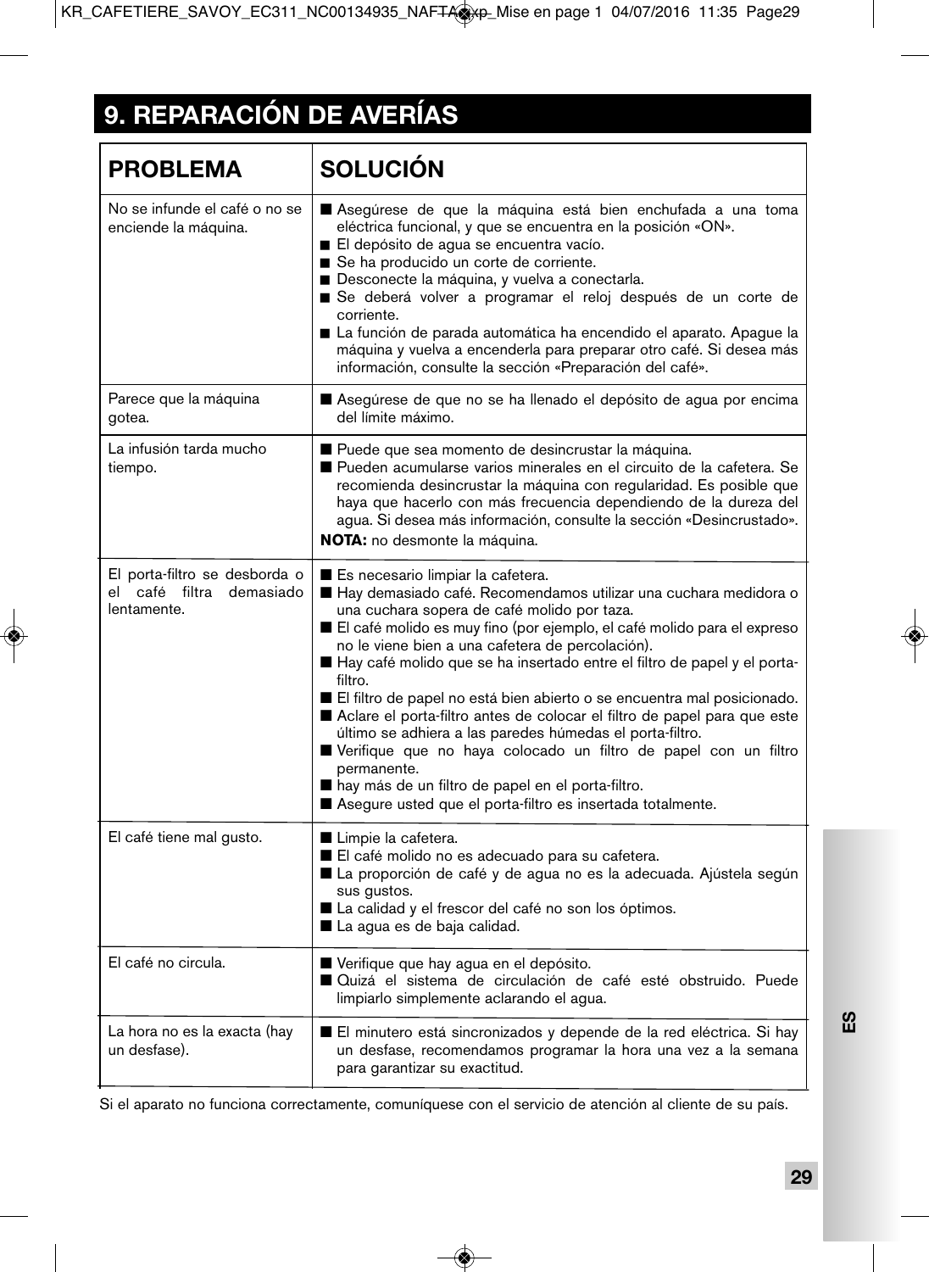# **9. REPARACIÓN DE AVERÍAS**

| <b>PROBLEMA</b>                                                          | <b>SOLUCIÓN</b>                                                                                                                                                                                                                                                                                                                                                                                                                                                                                                                                                                                                                                                                                                                                                                                    |
|--------------------------------------------------------------------------|----------------------------------------------------------------------------------------------------------------------------------------------------------------------------------------------------------------------------------------------------------------------------------------------------------------------------------------------------------------------------------------------------------------------------------------------------------------------------------------------------------------------------------------------------------------------------------------------------------------------------------------------------------------------------------------------------------------------------------------------------------------------------------------------------|
| No se infunde el café o no se<br>enciende la máquina.                    | Asegúrese de que la máquina está bien enchufada a una toma<br>eléctrica funcional, y que se encuentra en la posición «ON».<br>El depósito de agua se encuentra vacío.<br>Se ha producido un corte de corriente.<br>Desconecte la máquina, y vuelva a conectarla.<br>Se deberá volver a programar el reloj después de un corte de<br>corriente.<br>■ La función de parada automática ha encendido el aparato. Apague la<br>máquina y vuelva a encenderla para preparar otro café. Si desea más<br>información, consulte la sección «Preparación del café».                                                                                                                                                                                                                                          |
| Parece que la máquina<br>gotea.                                          | Asegúrese de que no se ha llenado el depósito de agua por encima<br>del límite máximo.                                                                                                                                                                                                                                                                                                                                                                                                                                                                                                                                                                                                                                                                                                             |
| La infusión tarda mucho<br>tiempo.                                       | Puede que sea momento de desincrustar la máquina.<br>Pueden acumularse varios minerales en el circuito de la cafetera. Se<br>recomienda desincrustar la máquina con regularidad. Es posible que<br>haya que hacerlo con más frecuencia dependiendo de la dureza del<br>agua. Si desea más información, consulte la sección «Desincrustado».<br>NOTA: no desmonte la máquina.                                                                                                                                                                                                                                                                                                                                                                                                                       |
| El porta-filtro se desborda o<br>el café filtra demasiado<br>lentamente. | Es necesario limpiar la cafetera.<br>Hay demasiado café. Recomendamos utilizar una cuchara medidora o<br>una cuchara sopera de café molido por taza.<br>El café molido es muy fino (por ejemplo, el café molido para el expreso<br>no le viene bien a una cafetera de percolación).<br>Hay café molido que se ha insertado entre el filtro de papel y el porta-<br>filtro.<br>El filtro de papel no está bien abierto o se encuentra mal posicionado.<br>Aclare el porta-filtro antes de colocar el filtro de papel para que este<br>último se adhiera a las paredes húmedas el porta-filtro.<br>Verifique que no haya colocado un filtro de papel con un filtro<br>permanente.<br>hay más de un filtro de papel en el porta-filtro.<br>Asegure usted que el porta-filtro es insertada totalmente. |
| El café tiene mal gusto.                                                 | Limpie la cafetera.<br>El café molido no es adecuado para su cafetera.<br>La proporción de café y de agua no es la adecuada. Ajústela según<br>sus qustos.<br>La calidad y el frescor del café no son los óptimos.<br>La agua es de baja calidad.                                                                                                                                                                                                                                                                                                                                                                                                                                                                                                                                                  |
| El café no circula.                                                      | Verifique que hay agua en el depósito.<br>Quizá el sistema de circulación de café esté obstruido. Puede<br>limpiarlo simplemente aclarando el agua.                                                                                                                                                                                                                                                                                                                                                                                                                                                                                                                                                                                                                                                |
| La hora no es la exacta (hay<br>un desfase).                             | El minutero está sincronizados y depende de la red eléctrica. Si hay<br>un desfase, recomendamos programar la hora una vez a la semana<br>para garantizar su exactitud.                                                                                                                                                                                                                                                                                                                                                                                                                                                                                                                                                                                                                            |

Si el aparato no funciona correctamente, comuníquese con el servicio de atención al cliente de su país.

**ES**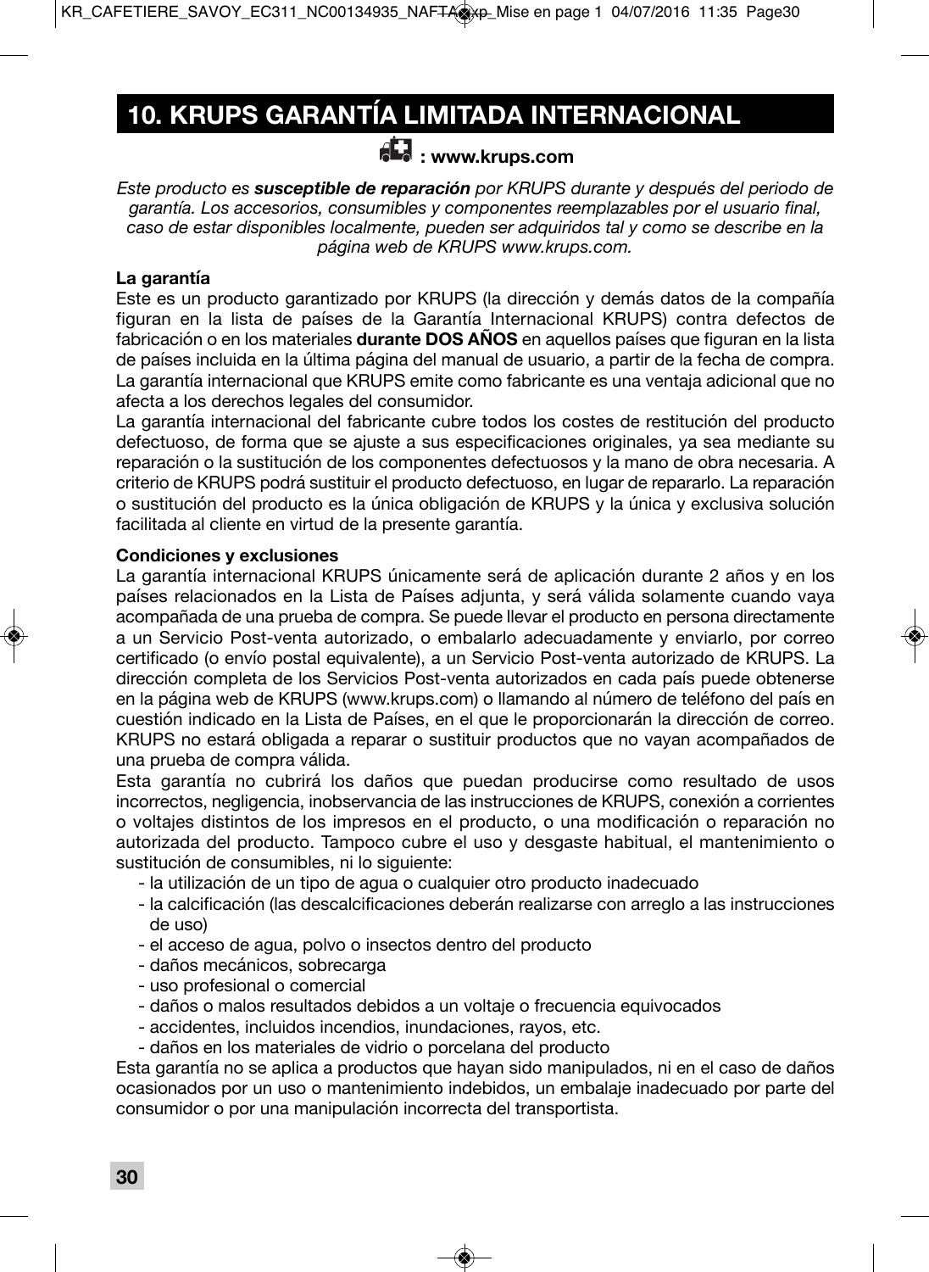# **10. KRUPS GARANTÍA LIMITADA INTERNACIONAL**

### **: www.krups.com**

*Este producto es susceptible de reparación por KRUPS durante y después del periodo de garantía. Los accesorios, consumibles y componentes reemplazables por el usuario final, caso de estar disponibles localmente, pueden ser adquiridos tal y como se describe en la página web de KRUPS www.krups.com.*

### **La garantía**

Este es un producto garantizado por KRUPS (la dirección y demás datos de la compañía figuran en la lista de países de la Garantía Internacional KRUPS) contra defectos de fabricación o en los materiales **durante DOS AÑOS** en aquellos países que figuran en la lista de países incluida en la última página del manual de usuario, a partir de la fecha de compra. La garantía internacional que KRUPS emite como fabricante es una ventaja adicional que no afecta a los derechos legales del consumidor.

La garantía internacional del fabricante cubre todos los costes de restitución del producto defectuoso, de forma que se ajuste a sus especificaciones originales, ya sea mediante su reparación o la sustitución de los componentes defectuosos y la mano de obra necesaria. A criterio de KRUPS podrá sustituir el producto defectuoso, en lugar de repararlo. La reparación o sustitución del producto es la única obligación de KRUPS y la única y exclusiva solución facilitada al cliente en virtud de la presente garantía.

### **Condiciones y exclusiones**

La garantía internacional KRUPS únicamente será de aplicación durante 2 años y en los países relacionados en la Lista de Países adjunta, y será válida solamente cuando vaya acompañada de una prueba de compra. Se puede llevar el producto en persona directamente a un Servicio Post-venta autorizado, o embalarlo adecuadamente y enviarlo, por correo certificado (o envío postal equivalente), a un Servicio Post-venta autorizado de KRUPS. La dirección completa de los Servicios Post-venta autorizados en cada país puede obtenerse en la página web de KRUPS (www.krups.com) o llamando al número de teléfono del país en cuestión indicado en la Lista de Países, en el que le proporcionarán la dirección de correo. KRUPS no estará obligada a reparar o sustituir productos que no vayan acompañados de una prueba de compra válida.

Esta garantía no cubrirá los daños que puedan producirse como resultado de usos incorrectos, negligencia, inobservancia de las instrucciones de KRUPS, conexión a corrientes o voltajes distintos de los impresos en el producto, o una modificación o reparación no autorizada del producto. Tampoco cubre el uso y desgaste habitual, el mantenimiento o sustitución de consumibles, ni lo siguiente:

- la utilización de un tipo de agua o cualquier otro producto inadecuado
- la calcificación (las descalcificaciones deberán realizarse con arreglo a las instrucciones de uso)
- el acceso de agua, polvo o insectos dentro del producto
- daños mecánicos, sobrecarga
- uso profesional o comercial
- daños o malos resultados debidos a un voltaje o frecuencia equivocados
- accidentes, incluidos incendios, inundaciones, rayos, etc.
- daños en los materiales de vidrio o porcelana del producto

Esta garantía no se aplica a productos que hayan sido manipulados, ni en el caso de daños ocasionados por un uso o mantenimiento indebidos, un embalaje inadecuado por parte del consumidor o por una manipulación incorrecta del transportista.